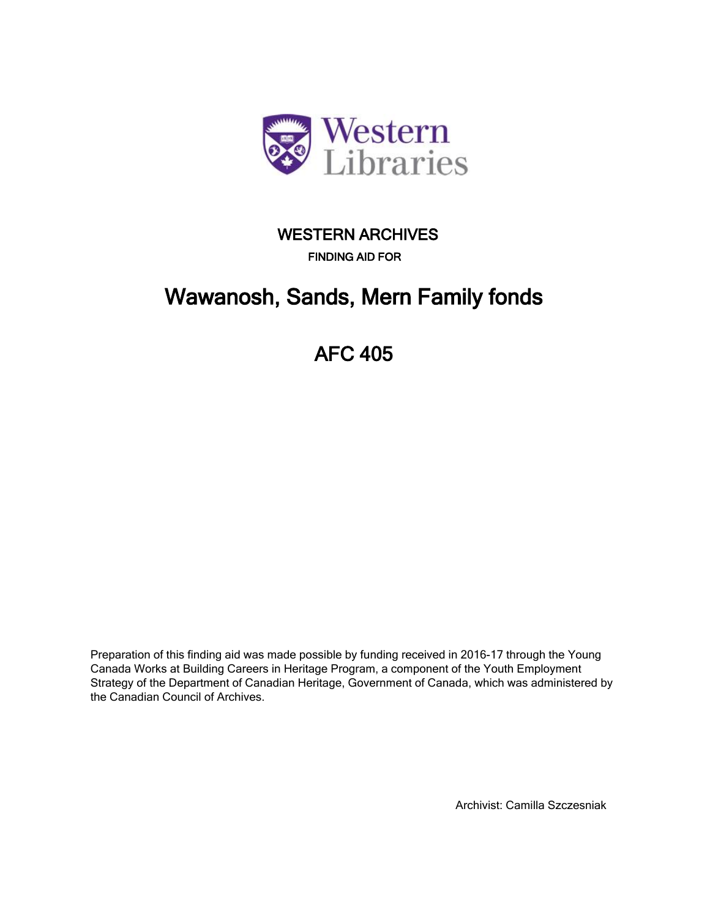

## **FINDING AID FOR WESTERN ARCHIVES**

# **[Wawanosh, Sands, Mern Family fonds](http://minweb.lib.uwo.minisisinc.com/scripts/mwimain.dll/144/PUB_DESCRIPTION/WEB_DESC_DETAIL_REP/SISN 90479?SESSIONSEARCH)**

# **[AFC 405](http://minweb.lib.uwo.minisisinc.com/scripts/mwimain.dll/144/PUB_DESCRIPTION/WEB_DESC_DETAIL_REP/SISN 90479?SESSIONSEARCH)**

Preparation of this finding aid was made possible by funding received in 2016-17 through the Young Canada Works at Building Careers in Heritage Program, a component of the Youth Employment Strategy of the Department of Canadian Heritage, Government of Canada, which was administered by the Canadian Council of Archives.

Archivist: Camilla Szczesniak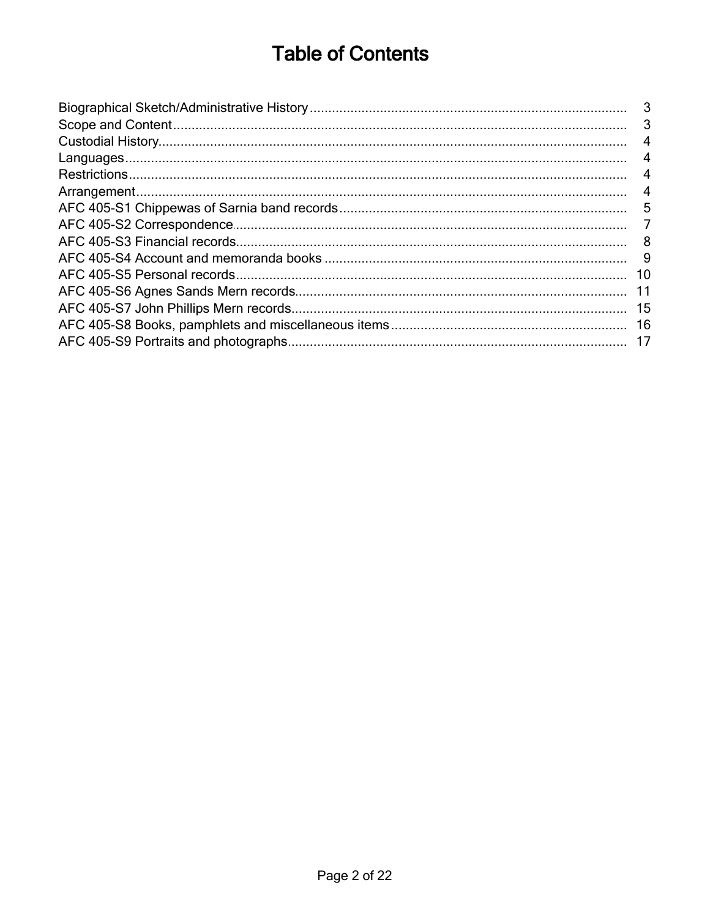# **Table of Contents**

| 4   |
|-----|
| 4   |
| -4  |
| 4   |
| 5   |
|     |
| - 8 |
|     |
|     |
|     |
|     |
|     |
|     |
|     |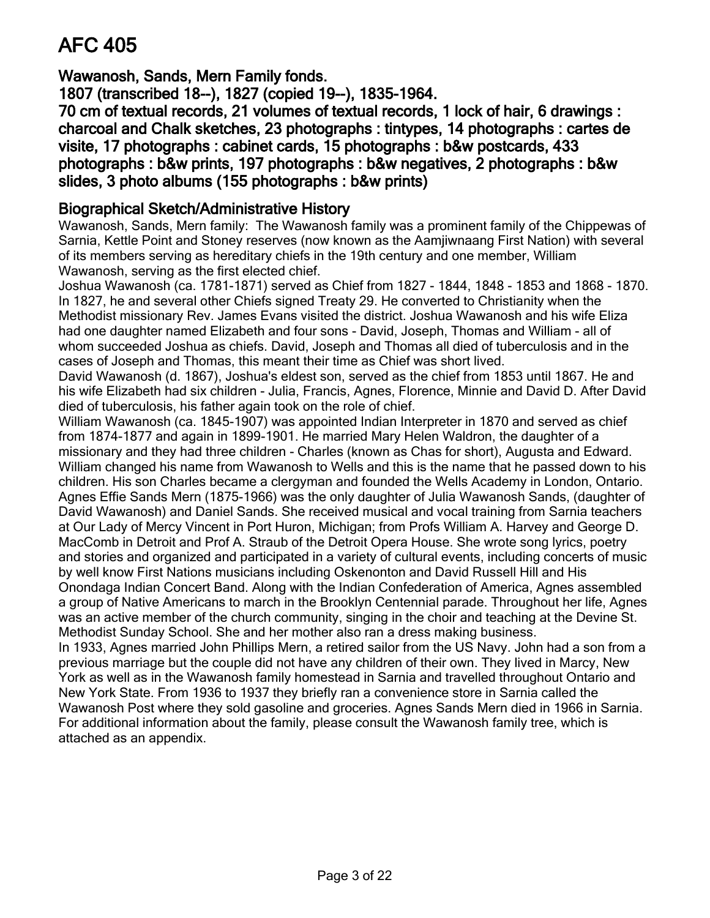# <span id="page-2-0"></span>**[AFC 405](http://minweb.lib.uwo.minisisinc.com/scripts/mwimain.dll/144/PUB_DESCRIPTION/WEB_DESC_DETAIL_REP/SISN 90479?SESSIONSEARCH)**

**Wawanosh, Sands, Mern Family fonds.**

**1807 (transcribed 18--), 1827 (copied 19--), 1835-1964.**

**70 cm of textual records, 21 volumes of textual records, 1 lock of hair, 6 drawings : [charcoal and Chalk sketches, 23 photographs : tintypes, 14 photographs : cartes de](http://minweb.lib.uwo.minisisinc.com/scripts/mwimain.dll/144/PUB_DESCRIPTION/WEB_DESC_DETAIL_REP/SISN 90479?SESSIONSEARCH) visite, 17 photographs : cabinet cards, 15 photographs : b&w postcards, 433 photographs : b&w prints, 197 photographs : b&w negatives, 2 photographs : b&w slides, 3 photo albums (155 photographs : b&w prints)**

## **Biographical Sketch/Administrative History**

Wawanosh, Sands, Mern family: The Wawanosh family was a prominent family of the Chippewas of Sarnia, Kettle Point and Stoney reserves (now known as the Aamjiwnaang First Nation) with several of its members serving as hereditary chiefs in the 19th century and one member, William Wawanosh, serving as the first elected chief.

Joshua Wawanosh (ca. 1781-1871) served as Chief from 1827 - 1844, 1848 - 1853 and 1868 - 1870. In 1827, he and several other Chiefs signed Treaty 29. He converted to Christianity when the Methodist missionary Rev. James Evans visited the district. Joshua Wawanosh and his wife Eliza had one daughter named Elizabeth and four sons - David, Joseph, Thomas and William - all of whom succeeded Joshua as chiefs. David, Joseph and Thomas all died of tuberculosis and in the cases of Joseph and Thomas, this meant their time as Chief was short lived.

David Wawanosh (d. 1867), Joshua's eldest son, served as the chief from 1853 until 1867. He and his wife Elizabeth had six children - Julia, Francis, Agnes, Florence, Minnie and David D. After David died of tuberculosis, his father again took on the role of chief.

William Wawanosh (ca. 1845-1907) was appointed Indian Interpreter in 1870 and served as chief from 1874-1877 and again in 1899-1901. He married Mary Helen Waldron, the daughter of a missionary and they had three children - Charles (known as Chas for short), Augusta and Edward. William changed his name from Wawanosh to Wells and this is the name that he passed down to his children. His son Charles became a clergyman and founded the Wells Academy in London, Ontario. Agnes Effie Sands Mern (1875-1966) was the only daughter of Julia Wawanosh Sands, (daughter of David Wawanosh) and Daniel Sands. She received musical and vocal training from Sarnia teachers at Our Lady of Mercy Vincent in Port Huron, Michigan; from Profs William A. Harvey and George D. MacComb in Detroit and Prof A. Straub of the Detroit Opera House. She wrote song lyrics, poetry and stories and organized and participated in a variety of cultural events, including concerts of music by well know First Nations musicians including Oskenonton and David Russell Hill and His Onondaga Indian Concert Band. Along with the Indian Confederation of America, Agnes assembled a group of Native Americans to march in the Brooklyn Centennial parade. Throughout her life, Agnes was an active member of the church community, singing in the choir and teaching at the Devine St. Methodist Sunday School. She and her mother also ran a dress making business.

In 1933, Agnes married John Phillips Mern, a retired sailor from the US Navy. John had a son from a previous marriage but the couple did not have any children of their own. They lived in Marcy, New York as well as in the Wawanosh family homestead in Sarnia and travelled throughout Ontario and New York State. From 1936 to 1937 they briefly ran a convenience store in Sarnia called the Wawanosh Post where they sold gasoline and groceries. Agnes Sands Mern died in 1966 in Sarnia. For additional information about the family, please consult the Wawanosh family tree, which is attached as an appendix.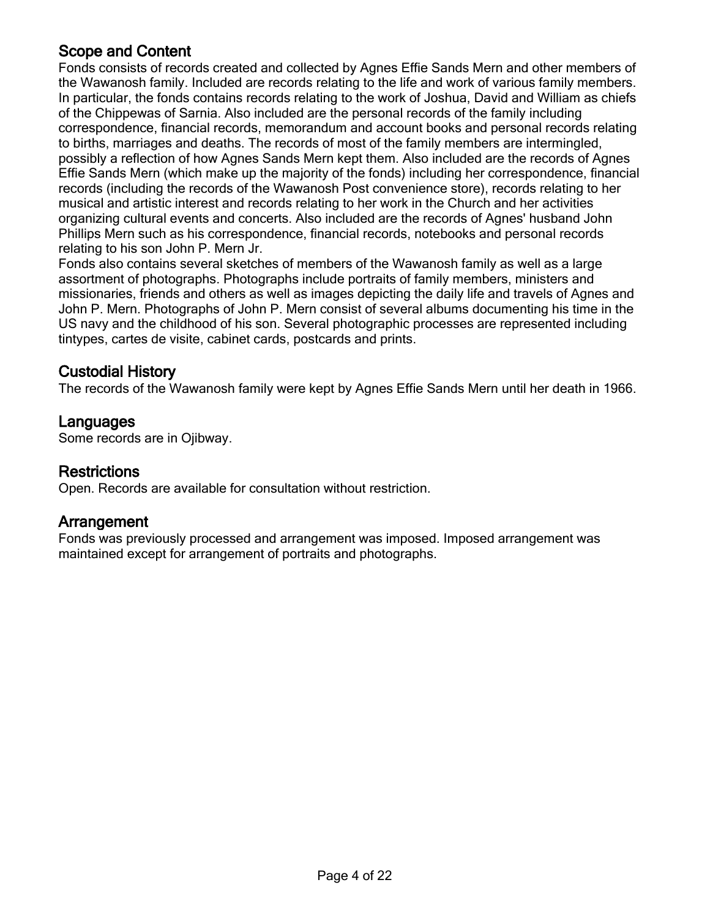## <span id="page-3-0"></span>**Scope and Content**

Fonds consists of records created and collected by Agnes Effie Sands Mern and other members of the Wawanosh family. Included are records relating to the life and work of various family members. In particular, the fonds contains records relating to the work of Joshua, David and William as chiefs of the Chippewas of Sarnia. Also included are the personal records of the family including correspondence, financial records, memorandum and account books and personal records relating to births, marriages and deaths. The records of most of the family members are intermingled, possibly a reflection of how Agnes Sands Mern kept them. Also included are the records of Agnes Effie Sands Mern (which make up the majority of the fonds) including her correspondence, financial records (including the records of the Wawanosh Post convenience store), records relating to her musical and artistic interest and records relating to her work in the Church and her activities organizing cultural events and concerts. Also included are the records of Agnes' husband John Phillips Mern such as his correspondence, financial records, notebooks and personal records relating to his son John P. Mern Jr.

Fonds also contains several sketches of members of the Wawanosh family as well as a large assortment of photographs. Photographs include portraits of family members, ministers and missionaries, friends and others as well as images depicting the daily life and travels of Agnes and John P. Mern. Photographs of John P. Mern consist of several albums documenting his time in the US navy and the childhood of his son. Several photographic processes are represented including tintypes, cartes de visite, cabinet cards, postcards and prints.

## **Custodial History**

The records of the Wawanosh family were kept by Agnes Effie Sands Mern until her death in 1966.

## **Languages**

Some records are in Ojibway.

## **Restrictions**

Open. Records are available for consultation without restriction.

## **Arrangement**

Fonds was previously processed and arrangement was imposed. Imposed arrangement was maintained except for arrangement of portraits and photographs.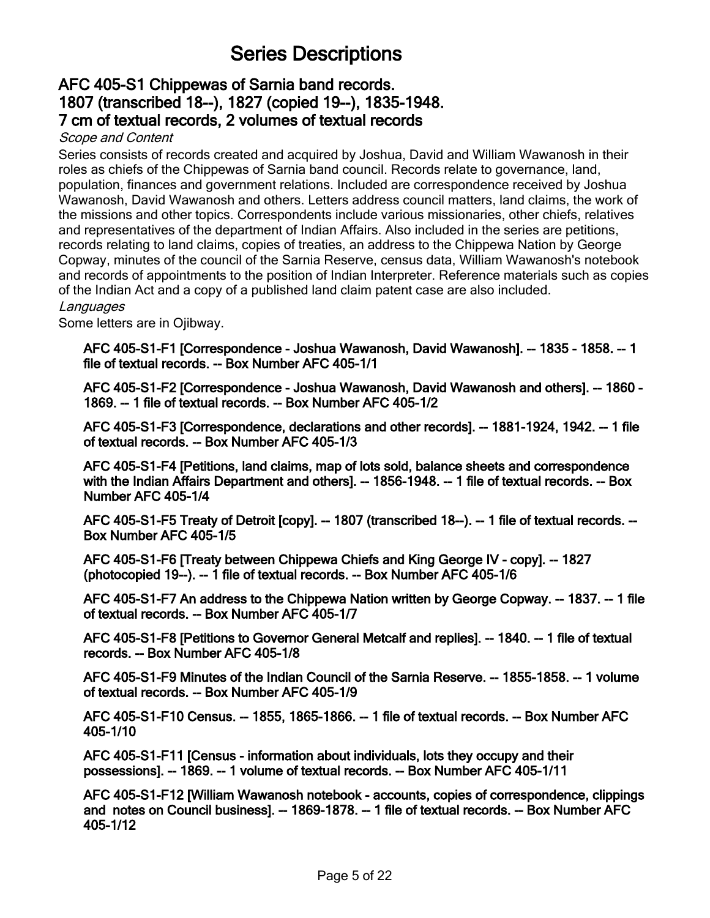## **Series Descriptions**

## <span id="page-4-0"></span>**AFC 405-S1 Chippewas of Sarnia band records. [1807 \(transcribed 18--\), 1827 \(copied 19--\), 1835-1948.](http://minweb.lib.uwo.minisisinc.com/scripts/mwimain.dll/144/PUB_DESCRIPTION/WEB_DESC_DETAIL_REP/SISN 92362?SESSIONSEARCH) 7 cm of textual records, 2 volumes of textual records**

#### *Scope and Content*

Series consists of records created and acquired by Joshua, David and William Wawanosh in their roles as chiefs of the Chippewas of Sarnia band council. Records relate to governance, land, population, finances and government relations. Included are correspondence received by Joshua Wawanosh, David Wawanosh and others. Letters address council matters, land claims, the work of the missions and other topics. Correspondents include various missionaries, other chiefs, relatives and representatives of the department of Indian Affairs. Also included in the series are petitions, records relating to land claims, copies of treaties, an address to the Chippewa Nation by George Copway, minutes of the council of the Sarnia Reserve, census data, William Wawanosh's notebook and records of appointments to the position of Indian Interpreter. Reference materials such as copies of the Indian Act and a copy of a published land claim patent case are also included. *Languages*

Some letters are in Ojibway.

**[AFC 405-S1-F1 \[Correspondence - Joshua Wawanosh, David Wawanosh\]. -- 1835 - 1858. -- 1](http://minweb.lib.uwo.minisisinc.com/scripts/mwimain.dll/144/PUB_DESCRIPTION/WEB_DESC_DETAIL_REP/SISN 92914?SESSIONSEARCH) file of textual records. -- Box Number AFC 405-1/1**

**[AFC 405-S1-F2 \[Correspondence - Joshua Wawanosh, David Wawanosh and others\]. -- 1860 -](http://minweb.lib.uwo.minisisinc.com/scripts/mwimain.dll/144/PUB_DESCRIPTION/WEB_DESC_DETAIL_REP/SISN 92915?SESSIONSEARCH) 1869. -- 1 file of textual records. -- Box Number AFC 405-1/2**

**[AFC 405-S1-F3 \[Correspondence, declarations and other records\]. -- 1881-1924, 1942. -- 1 file](http://minweb.lib.uwo.minisisinc.com/scripts/mwimain.dll/144/PUB_DESCRIPTION/WEB_DESC_DETAIL_REP/SISN 92916?SESSIONSEARCH) of textual records. -- Box Number AFC 405-1/3**

**AFC 405-S1-F4 [Petitions, land claims, map of lots sold, balance sheets and correspondence [with the Indian Affairs Department and others\]. -- 1856-1948. -- 1 file of textual records. -- Box](http://minweb.lib.uwo.minisisinc.com/scripts/mwimain.dll/144/PUB_DESCRIPTION/WEB_DESC_DETAIL_REP/SISN 92917?SESSIONSEARCH) Number AFC 405-1/4**

**[AFC 405-S1-F5 Treaty of Detroit \[copy\]. -- 1807 \(transcribed 18--\). -- 1 file of textual records. --](http://minweb.lib.uwo.minisisinc.com/scripts/mwimain.dll/144/PUB_DESCRIPTION/WEB_DESC_DETAIL_REP/SISN 92918?SESSIONSEARCH) Box Number AFC 405-1/5**

**[AFC 405-S1-F6 \[Treaty between Chippewa Chiefs and King George IV - copy\]. -- 1827](http://minweb.lib.uwo.minisisinc.com/scripts/mwimain.dll/144/PUB_DESCRIPTION/WEB_DESC_DETAIL_REP/SISN 92919?SESSIONSEARCH) (photocopied 19--). -- 1 file of textual records. -- Box Number AFC 405-1/6**

**[AFC 405-S1-F7 An address to the Chippewa Nation written by George Copway. -- 1837. -- 1 file](http://minweb.lib.uwo.minisisinc.com/scripts/mwimain.dll/144/PUB_DESCRIPTION/WEB_DESC_DETAIL_REP/SISN 92920?SESSIONSEARCH) of textual records. -- Box Number AFC 405-1/7**

**[AFC 405-S1-F8 \[Petitions to Governor General Metcalf and replies\]. -- 1840. -- 1 file of textual](http://minweb.lib.uwo.minisisinc.com/scripts/mwimain.dll/144/PUB_DESCRIPTION/WEB_DESC_DETAIL_REP/SISN 92921?SESSIONSEARCH) records. -- Box Number AFC 405-1/8**

**[AFC 405-S1-F9 Minutes of the Indian Council of the Sarnia Reserve. -- 1855-1858. -- 1 volume](http://minweb.lib.uwo.minisisinc.com/scripts/mwimain.dll/144/PUB_DESCRIPTION/WEB_DESC_DETAIL_REP/SISN 92922?SESSIONSEARCH) of textual records. -- Box Number AFC 405-1/9**

**[AFC 405-S1-F10 Census. -- 1855, 1865-1866. -- 1 file of textual records. -- Box Number AFC](http://minweb.lib.uwo.minisisinc.com/scripts/mwimain.dll/144/PUB_DESCRIPTION/WEB_DESC_DETAIL_REP/SISN 92923?SESSIONSEARCH) 405-1/10**

**[AFC 405-S1-F11 \[Census - information about individuals, lots they occupy and their](http://minweb.lib.uwo.minisisinc.com/scripts/mwimain.dll/144/PUB_DESCRIPTION/WEB_DESC_DETAIL_REP/SISN 92924?SESSIONSEARCH) possessions]. -- 1869. -- 1 volume of textual records. -- Box Number AFC 405-1/11**

**[AFC 405-S1-F12 \[William Wawanosh notebook - accounts, copies of correspondence, clippings](http://minweb.lib.uwo.minisisinc.com/scripts/mwimain.dll/144/PUB_DESCRIPTION/WEB_DESC_DETAIL_REP/SISN 92925?SESSIONSEARCH) and notes on Council business]. -- 1869-1878. -- 1 file of textual records. -- Box Number AFC 405-1/12**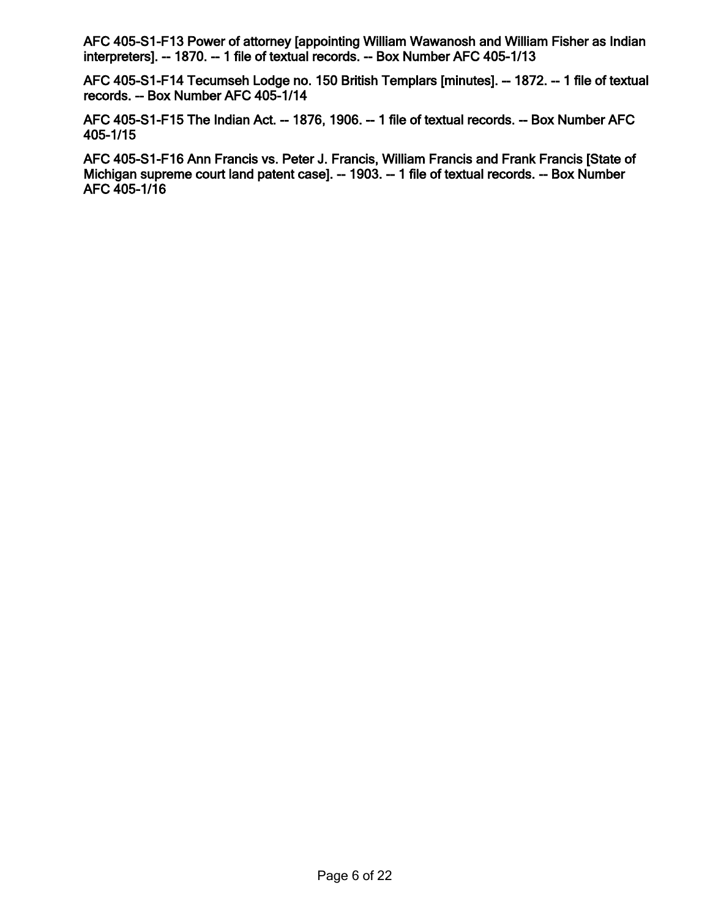**[AFC 405-S1-F13 Power of attorney \[appointing William Wawanosh and William Fisher as Indian](http://minweb.lib.uwo.minisisinc.com/scripts/mwimain.dll/144/PUB_DESCRIPTION/WEB_DESC_DETAIL_REP/SISN 92926?SESSIONSEARCH) interpreters]. -- 1870. -- 1 file of textual records. -- Box Number AFC 405-1/13**

**[AFC 405-S1-F14 Tecumseh Lodge no. 150 British Templars \[minutes\]. -- 1872. -- 1 file of textual](http://minweb.lib.uwo.minisisinc.com/scripts/mwimain.dll/144/PUB_DESCRIPTION/WEB_DESC_DETAIL_REP/SISN 92927?SESSIONSEARCH) records. -- Box Number AFC 405-1/14**

**[AFC 405-S1-F15 The Indian Act. -- 1876, 1906. -- 1 file of textual records. -- Box Number AFC](http://minweb.lib.uwo.minisisinc.com/scripts/mwimain.dll/144/PUB_DESCRIPTION/WEB_DESC_DETAIL_REP/SISN 92928?SESSIONSEARCH) 405-1/15**

**[AFC 405-S1-F16 Ann Francis vs. Peter J. Francis, William Francis and Frank Francis \[State of](http://minweb.lib.uwo.minisisinc.com/scripts/mwimain.dll/144/PUB_DESCRIPTION/WEB_DESC_DETAIL_REP/SISN 92929?SESSIONSEARCH) Michigan supreme court land patent case]. -- 1903. -- 1 file of textual records. -- Box Number AFC 405-1/16**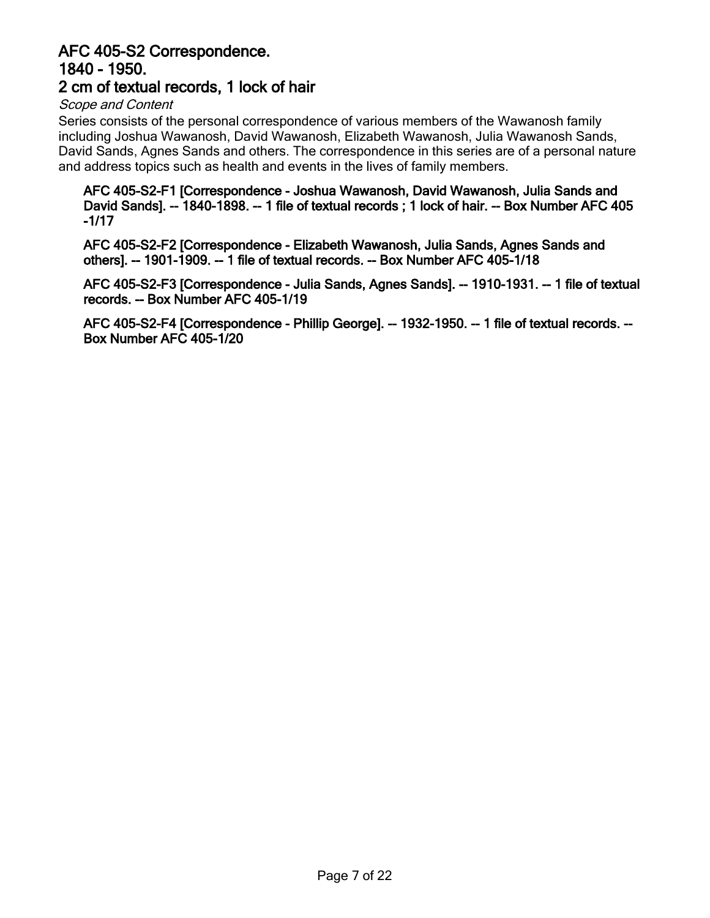## <span id="page-6-0"></span>**AFC 405-S2 Correspondence. 1840 - 1950. [2 cm of textual records, 1 lock of hair](http://minweb.lib.uwo.minisisinc.com/scripts/mwimain.dll/144/PUB_DESCRIPTION/WEB_DESC_DETAIL_REP/SISN 92363?SESSIONSEARCH)**

#### *Scope and Content*

Series consists of the personal correspondence of various members of the Wawanosh family including Joshua Wawanosh, David Wawanosh, Elizabeth Wawanosh, Julia Wawanosh Sands, David Sands, Agnes Sands and others. The correspondence in this series are of a personal nature and address topics such as health and events in the lives of family members.

**AFC 405-S2-F1 [Correspondence - Joshua Wawanosh, David Wawanosh, Julia Sands and [David Sands\]. -- 1840-1898. -- 1 file of textual records ; 1 lock of hair. -- Box Number AFC 405](http://minweb.lib.uwo.minisisinc.com/scripts/mwimain.dll/144/PUB_DESCRIPTION/WEB_DESC_DETAIL_REP/SISN 92930?SESSIONSEARCH) -1/17**

**[AFC 405-S2-F2 \[Correspondence - Elizabeth Wawanosh, Julia Sands, Agnes Sands and](http://minweb.lib.uwo.minisisinc.com/scripts/mwimain.dll/144/PUB_DESCRIPTION/WEB_DESC_DETAIL_REP/SISN 92931?SESSIONSEARCH) others]. -- 1901-1909. -- 1 file of textual records. -- Box Number AFC 405-1/18**

**[AFC 405-S2-F3 \[Correspondence - Julia Sands, Agnes Sands\]. -- 1910-1931. -- 1 file of textual](http://minweb.lib.uwo.minisisinc.com/scripts/mwimain.dll/144/PUB_DESCRIPTION/WEB_DESC_DETAIL_REP/SISN 92932?SESSIONSEARCH) records. -- Box Number AFC 405-1/19**

**[AFC 405-S2-F4 \[Correspondence - Phillip George\]. -- 1932-1950. -- 1 file of textual records. --](http://minweb.lib.uwo.minisisinc.com/scripts/mwimain.dll/144/PUB_DESCRIPTION/WEB_DESC_DETAIL_REP/SISN 92933?SESSIONSEARCH) Box Number AFC 405-1/20**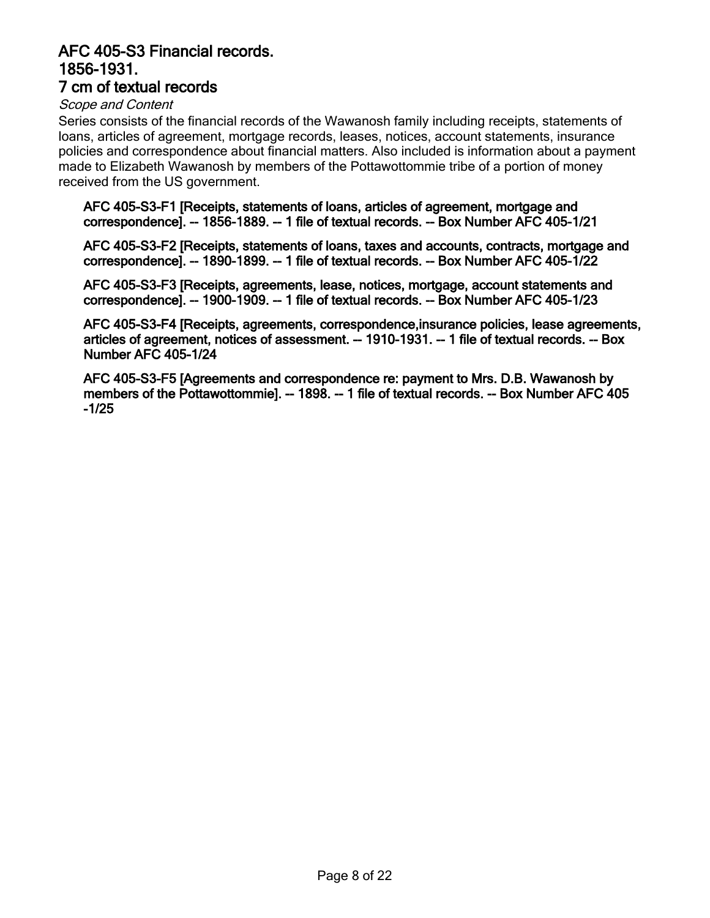#### <span id="page-7-0"></span>**[AFC 405-S3 Financial records.](http://minweb.lib.uwo.minisisinc.com/scripts/mwimain.dll/144/PUB_DESCRIPTION/WEB_DESC_DETAIL_REP/SISN 92364?SESSIONSEARCH) 1856-1931. 7 cm of textual records**

#### *Scope and Content*

Series consists of the financial records of the Wawanosh family including receipts, statements of loans, articles of agreement, mortgage records, leases, notices, account statements, insurance policies and correspondence about financial matters. Also included is information about a payment made to Elizabeth Wawanosh by members of the Pottawottommie tribe of a portion of money received from the US government.

**AFC 405-S3-F1 [Receipts, statements of loans, articles of agreement, mortgage and [correspondence\]. -- 1856-1889. -- 1 file of textual records. -- Box Number AFC 405-1/21](http://minweb.lib.uwo.minisisinc.com/scripts/mwimain.dll/144/PUB_DESCRIPTION/WEB_DESC_DETAIL_REP/SISN 92934?SESSIONSEARCH)**

**[AFC 405-S3-F2 \[Receipts, statements of loans, taxes and accounts, contracts, mortgage and](http://minweb.lib.uwo.minisisinc.com/scripts/mwimain.dll/144/PUB_DESCRIPTION/WEB_DESC_DETAIL_REP/SISN 92935?SESSIONSEARCH) correspondence]. -- 1890-1899. -- 1 file of textual records. -- Box Number AFC 405-1/22**

**[AFC 405-S3-F3 \[Receipts, agreements, lease, notices, mortgage, account statements and](http://minweb.lib.uwo.minisisinc.com/scripts/mwimain.dll/144/PUB_DESCRIPTION/WEB_DESC_DETAIL_REP/SISN 92936?SESSIONSEARCH) correspondence]. -- 1900-1909. -- 1 file of textual records. -- Box Number AFC 405-1/23**

**[AFC 405-S3-F4 \[Receipts, agreements, correspondence,insurance policies, lease agreements,](http://minweb.lib.uwo.minisisinc.com/scripts/mwimain.dll/144/PUB_DESCRIPTION/WEB_DESC_DETAIL_REP/SISN 92937?SESSIONSEARCH) articles of agreement, notices of assessment. -- 1910-1931. -- 1 file of textual records. -- Box Number AFC 405-1/24**

**AFC 405-S3-F5 [Agreements and correspondence re: payment to Mrs. D.B. Wawanosh by [members of the Pottawottommie\]. -- 1898. -- 1 file of textual records. -- Box Number AFC 405](http://minweb.lib.uwo.minisisinc.com/scripts/mwimain.dll/144/PUB_DESCRIPTION/WEB_DESC_DETAIL_REP/SISN 92938?SESSIONSEARCH) -1/25**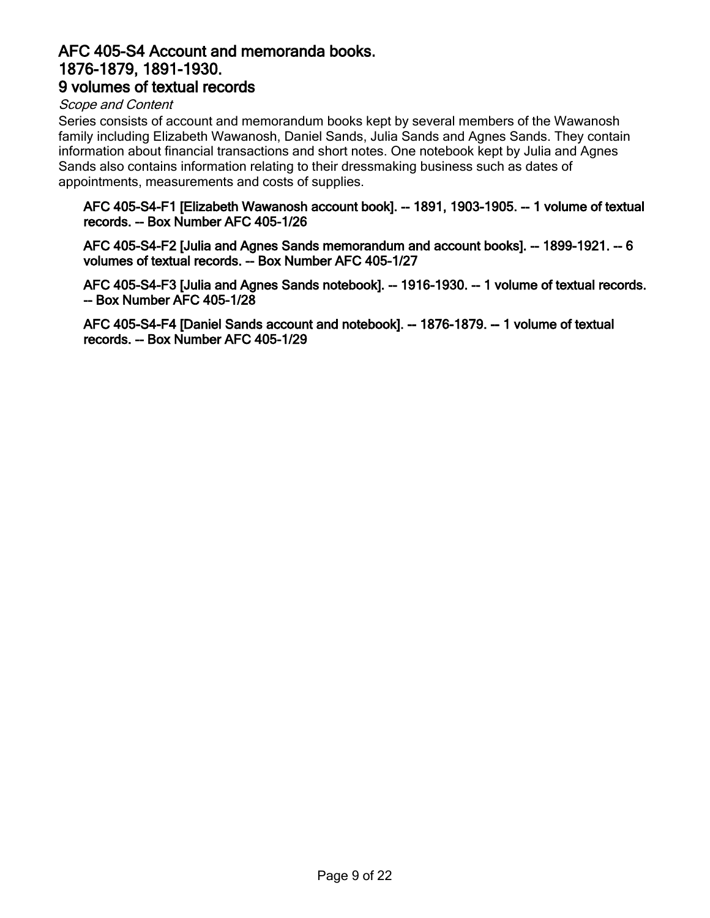## <span id="page-8-0"></span>**[AFC 405-S4 Account and memoranda books.](http://minweb.lib.uwo.minisisinc.com/scripts/mwimain.dll/144/PUB_DESCRIPTION/WEB_DESC_DETAIL_REP/SISN 92366?SESSIONSEARCH) 1876-1879, 1891-1930. 9 volumes of textual records**

#### *Scope and Content*

Series consists of account and memorandum books kept by several members of the Wawanosh family including Elizabeth Wawanosh, Daniel Sands, Julia Sands and Agnes Sands. They contain information about financial transactions and short notes. One notebook kept by Julia and Agnes Sands also contains information relating to their dressmaking business such as dates of appointments, measurements and costs of supplies.

#### **[AFC 405-S4-F1 \[Elizabeth Wawanosh account book\]. -- 1891, 1903-1905. -- 1 volume of textual](http://minweb.lib.uwo.minisisinc.com/scripts/mwimain.dll/144/PUB_DESCRIPTION/WEB_DESC_DETAIL_REP/SISN 92939?SESSIONSEARCH) records. -- Box Number AFC 405-1/26**

**[AFC 405-S4-F2 \[Julia and Agnes Sands memorandum and account books\]. -- 1899-1921. -- 6](http://minweb.lib.uwo.minisisinc.com/scripts/mwimain.dll/144/PUB_DESCRIPTION/WEB_DESC_DETAIL_REP/SISN 92940?SESSIONSEARCH) volumes of textual records. -- Box Number AFC 405-1/27**

**[AFC 405-S4-F3 \[Julia and Agnes Sands notebook\]. -- 1916-1930. -- 1 volume of textual records.](http://minweb.lib.uwo.minisisinc.com/scripts/mwimain.dll/144/PUB_DESCRIPTION/WEB_DESC_DETAIL_REP/SISN 92941?SESSIONSEARCH) -- Box Number AFC 405-1/28**

**[AFC 405-S4-F4 \[Daniel Sands account and notebook\]. -- 1876-1879. -- 1 volume of textual](http://minweb.lib.uwo.minisisinc.com/scripts/mwimain.dll/144/PUB_DESCRIPTION/WEB_DESC_DETAIL_REP/SISN 92942?SESSIONSEARCH) records. -- Box Number AFC 405-1/29**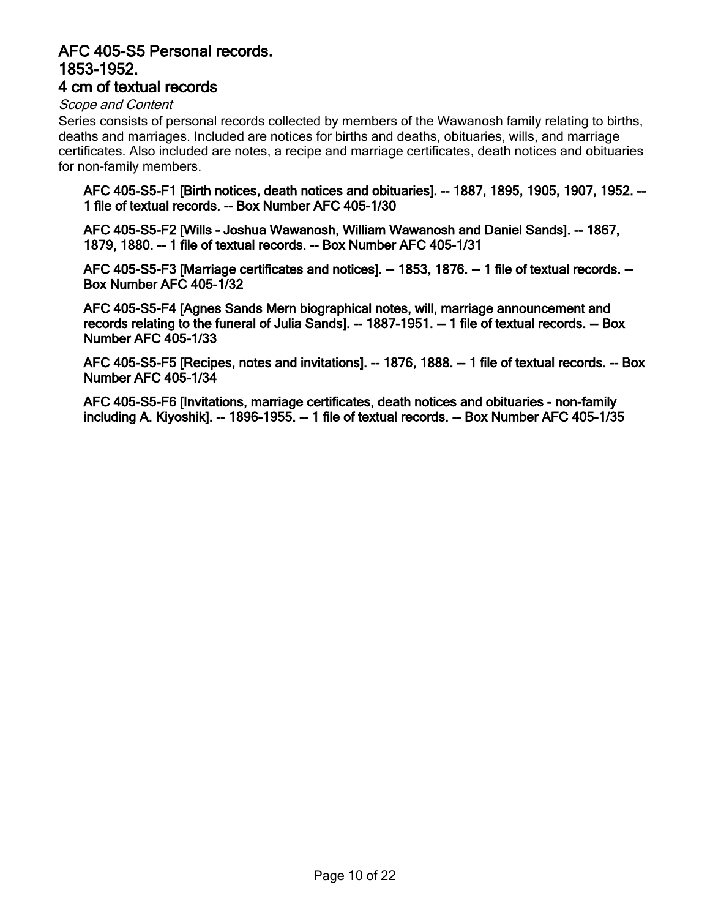#### <span id="page-9-0"></span>**[AFC 405-S5 Personal records.](http://minweb.lib.uwo.minisisinc.com/scripts/mwimain.dll/144/PUB_DESCRIPTION/WEB_DESC_DETAIL_REP/SISN 92365?SESSIONSEARCH) 1853-1952. 4 cm of textual records**

#### *Scope and Content*

Series consists of personal records collected by members of the Wawanosh family relating to births, deaths and marriages. Included are notices for births and deaths, obituaries, wills, and marriage certificates. Also included are notes, a recipe and marriage certificates, death notices and obituaries for non-family members.

**[AFC 405-S5-F1 \[Birth notices, death notices and obituaries\]. -- 1887, 1895, 1905, 1907, 1952. --](http://minweb.lib.uwo.minisisinc.com/scripts/mwimain.dll/144/PUB_DESCRIPTION/WEB_DESC_DETAIL_REP/SISN 92943?SESSIONSEARCH) 1 file of textual records. -- Box Number AFC 405-1/30**

**[AFC 405-S5-F2 \[Wills - Joshua Wawanosh, William Wawanosh and Daniel Sands\]. -- 1867,](http://minweb.lib.uwo.minisisinc.com/scripts/mwimain.dll/144/PUB_DESCRIPTION/WEB_DESC_DETAIL_REP/SISN 92944?SESSIONSEARCH) 1879, 1880. -- 1 file of textual records. -- Box Number AFC 405-1/31**

**[AFC 405-S5-F3 \[Marriage certificates and notices\]. -- 1853, 1876. -- 1 file of textual records. --](http://minweb.lib.uwo.minisisinc.com/scripts/mwimain.dll/144/PUB_DESCRIPTION/WEB_DESC_DETAIL_REP/SISN 92945?SESSIONSEARCH) Box Number AFC 405-1/32**

**AFC 405-S5-F4 [Agnes Sands Mern biographical notes, will, marriage announcement and [records relating to the funeral of Julia Sands\]. -- 1887-1951. -- 1 file of textual records. -- Box](http://minweb.lib.uwo.minisisinc.com/scripts/mwimain.dll/144/PUB_DESCRIPTION/WEB_DESC_DETAIL_REP/SISN 92946?SESSIONSEARCH) Number AFC 405-1/33**

**[AFC 405-S5-F5 \[Recipes, notes and invitations\]. -- 1876, 1888. -- 1 file of textual records. -- Box](http://minweb.lib.uwo.minisisinc.com/scripts/mwimain.dll/144/PUB_DESCRIPTION/WEB_DESC_DETAIL_REP/SISN 92947?SESSIONSEARCH) Number AFC 405-1/34**

**AFC 405-S5-F6 [Invitations, marriage certificates, death notices and obituaries - non-family [including A. Kiyoshik\]. -- 1896-1955. -- 1 file of textual records. -- Box Number AFC 405-1/35](http://minweb.lib.uwo.minisisinc.com/scripts/mwimain.dll/144/PUB_DESCRIPTION/WEB_DESC_DETAIL_REP/SISN 92948?SESSIONSEARCH)**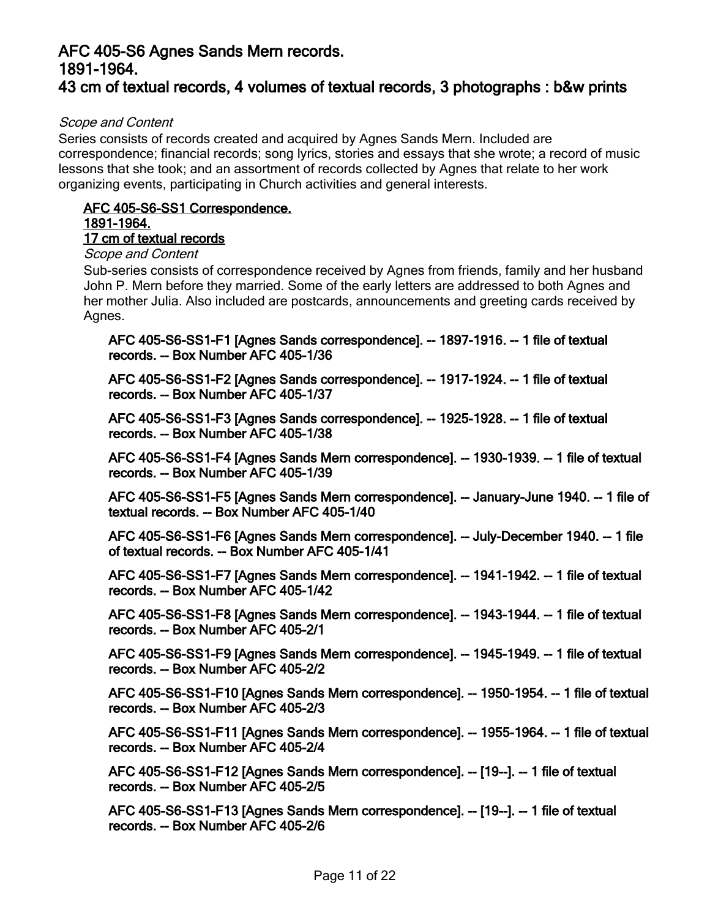## <span id="page-10-0"></span>**AFC 405-S6 Agnes Sands Mern records. 1891-1964. [43 cm of textual records, 4 volumes of textual records, 3 photographs : b&w prints](http://minweb.lib.uwo.minisisinc.com/scripts/mwimain.dll/144/PUB_DESCRIPTION/WEB_DESC_DETAIL_REP/SISN 92367?SESSIONSEARCH)**

#### *Scope and Content*

Series consists of records created and acquired by Agnes Sands Mern. Included are correspondence; financial records; song lyrics, stories and essays that she wrote; a record of music lessons that she took; and an assortment of records collected by Agnes that relate to her work organizing events, participating in Church activities and general interests.

## **[AFC 405-S6-SS1 Correspondence.](http://minweb.lib.uwo.minisisinc.com/scripts/mwimain.dll/144/PUB_DESCRIPTION/WEB_DESC_DETAIL_REP/SISN 92368?SESSIONSEARCH) 1891-1964.**

## **17 cm of textual records**

## *Scope and Content*

Sub-series consists of correspondence received by Agnes from friends, family and her husband John P. Mern before they married. Some of the early letters are addressed to both Agnes and her mother Julia. Also included are postcards, announcements and greeting cards received by Agnes.

**[AFC 405-S6-SS1-F1 \[Agnes Sands correspondence\]. -- 1897-1916. -- 1 file of textual](http://minweb.lib.uwo.minisisinc.com/scripts/mwimain.dll/144/PUB_DESCRIPTION/WEB_DESC_DETAIL_REP/SISN 92949?SESSIONSEARCH) records. -- Box Number AFC 405-1/36**

**[AFC 405-S6-SS1-F2 \[Agnes Sands correspondence\]. -- 1917-1924. -- 1 file of textual](http://minweb.lib.uwo.minisisinc.com/scripts/mwimain.dll/144/PUB_DESCRIPTION/WEB_DESC_DETAIL_REP/SISN 92950?SESSIONSEARCH) records. -- Box Number AFC 405-1/37**

**[AFC 405-S6-SS1-F3 \[Agnes Sands correspondence\]. -- 1925-1928. -- 1 file of textual](http://minweb.lib.uwo.minisisinc.com/scripts/mwimain.dll/144/PUB_DESCRIPTION/WEB_DESC_DETAIL_REP/SISN 92951?SESSIONSEARCH) records. -- Box Number AFC 405-1/38**

**[AFC 405-S6-SS1-F4 \[Agnes Sands Mern correspondence\]. -- 1930-1939. -- 1 file of textual](http://minweb.lib.uwo.minisisinc.com/scripts/mwimain.dll/144/PUB_DESCRIPTION/WEB_DESC_DETAIL_REP/SISN 92952?SESSIONSEARCH) records. -- Box Number AFC 405-1/39**

**[AFC 405-S6-SS1-F5 \[Agnes Sands Mern correspondence\]. -- January-June 1940. -- 1 file of](http://minweb.lib.uwo.minisisinc.com/scripts/mwimain.dll/144/PUB_DESCRIPTION/WEB_DESC_DETAIL_REP/SISN 92953?SESSIONSEARCH) textual records. -- Box Number AFC 405-1/40**

**[AFC 405-S6-SS1-F6 \[Agnes Sands Mern correspondence\]. -- July-December 1940. -- 1 file](http://minweb.lib.uwo.minisisinc.com/scripts/mwimain.dll/144/PUB_DESCRIPTION/WEB_DESC_DETAIL_REP/SISN 92954?SESSIONSEARCH) of textual records. -- Box Number AFC 405-1/41**

**[AFC 405-S6-SS1-F7 \[Agnes Sands Mern correspondence\]. -- 1941-1942. -- 1 file of textual](http://minweb.lib.uwo.minisisinc.com/scripts/mwimain.dll/144/PUB_DESCRIPTION/WEB_DESC_DETAIL_REP/SISN 92955?SESSIONSEARCH) records. -- Box Number AFC 405-1/42**

**[AFC 405-S6-SS1-F8 \[Agnes Sands Mern correspondence\]. -- 1943-1944. -- 1 file of textual](http://minweb.lib.uwo.minisisinc.com/scripts/mwimain.dll/144/PUB_DESCRIPTION/WEB_DESC_DETAIL_REP/SISN 92956?SESSIONSEARCH) records. -- Box Number AFC 405-2/1**

**[AFC 405-S6-SS1-F9 \[Agnes Sands Mern correspondence\]. -- 1945-1949. -- 1 file of textual](http://minweb.lib.uwo.minisisinc.com/scripts/mwimain.dll/144/PUB_DESCRIPTION/WEB_DESC_DETAIL_REP/SISN 92957?SESSIONSEARCH) records. -- Box Number AFC 405-2/2**

**[AFC 405-S6-SS1-F10 \[Agnes Sands Mern correspondence\]. -- 1950-1954. -- 1 file of textual](http://minweb.lib.uwo.minisisinc.com/scripts/mwimain.dll/144/PUB_DESCRIPTION/WEB_DESC_DETAIL_REP/SISN 92958?SESSIONSEARCH) records. -- Box Number AFC 405-2/3**

**[AFC 405-S6-SS1-F11 \[Agnes Sands Mern correspondence\]. -- 1955-1964. -- 1 file of textual](http://minweb.lib.uwo.minisisinc.com/scripts/mwimain.dll/144/PUB_DESCRIPTION/WEB_DESC_DETAIL_REP/SISN 92959?SESSIONSEARCH) records. -- Box Number AFC 405-2/4**

**[AFC 405-S6-SS1-F12 \[Agnes Sands Mern correspondence\]. -- \[19--\]. -- 1 file of textual](http://minweb.lib.uwo.minisisinc.com/scripts/mwimain.dll/144/PUB_DESCRIPTION/WEB_DESC_DETAIL_REP/SISN 92960?SESSIONSEARCH) records. -- Box Number AFC 405-2/5**

**[AFC 405-S6-SS1-F13 \[Agnes Sands Mern correspondence\]. -- \[19--\]. -- 1 file of textual](http://minweb.lib.uwo.minisisinc.com/scripts/mwimain.dll/144/PUB_DESCRIPTION/WEB_DESC_DETAIL_REP/SISN 92961?SESSIONSEARCH) records. -- Box Number AFC 405-2/6**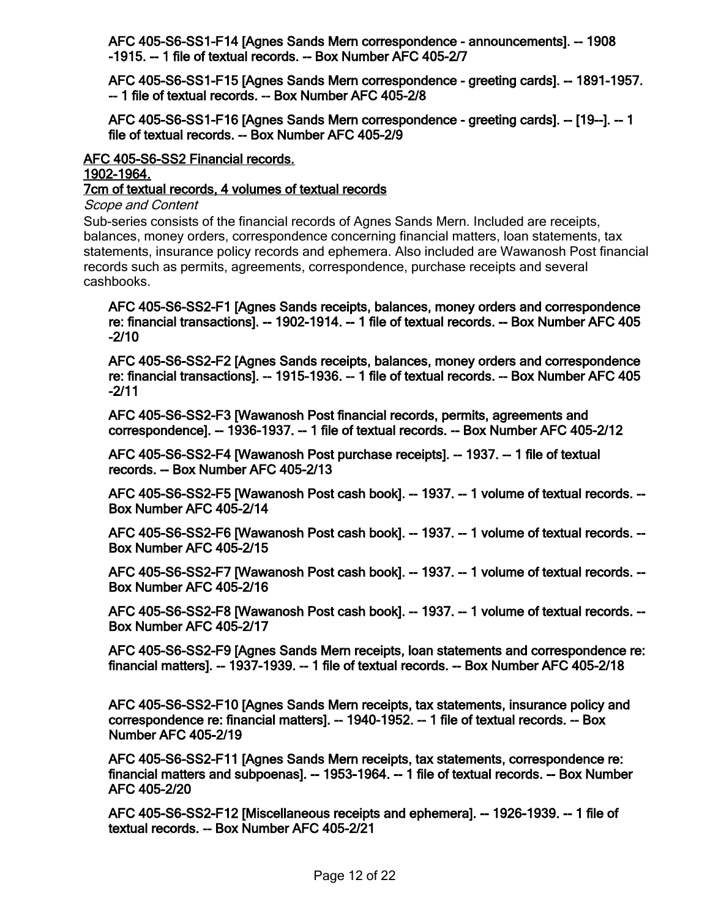**[AFC 405-S6-SS1-F14 \[Agnes Sands Mern correspondence - announcements\]. -- 1908](http://minweb.lib.uwo.minisisinc.com/scripts/mwimain.dll/144/PUB_DESCRIPTION/WEB_DESC_DETAIL_REP/SISN 92962?SESSIONSEARCH) -1915. -- 1 file of textual records. -- Box Number AFC 405-2/7**

**[AFC 405-S6-SS1-F15 \[Agnes Sands Mern correspondence - greeting cards\]. -- 1891-1957.](http://minweb.lib.uwo.minisisinc.com/scripts/mwimain.dll/144/PUB_DESCRIPTION/WEB_DESC_DETAIL_REP/SISN 92963?SESSIONSEARCH)  -- 1 file of textual records. -- Box Number AFC 405-2/8**

**[AFC 405-S6-SS1-F16 \[Agnes Sands Mern correspondence - greeting cards\]. -- \[19--\]. -- 1](http://minweb.lib.uwo.minisisinc.com/scripts/mwimain.dll/144/PUB_DESCRIPTION/WEB_DESC_DETAIL_REP/SISN 92964?SESSIONSEARCH) file of textual records. -- Box Number AFC 405-2/9**

## **AFC 405-S6-SS2 Financial records. 1902-1964.**

**[7cm of textual records, 4 volumes of textual records](http://minweb.lib.uwo.minisisinc.com/scripts/mwimain.dll/144/PUB_DESCRIPTION/WEB_DESC_DETAIL_REP/SISN 92369?SESSIONSEARCH)**

*Scope and Content*

Sub-series consists of the financial records of Agnes Sands Mern. Included are receipts, balances, money orders, correspondence concerning financial matters, loan statements, tax statements, insurance policy records and ephemera. Also included are Wawanosh Post financial records such as permits, agreements, correspondence, purchase receipts and several cashbooks.

**AFC 405-S6-SS2-F1 [Agnes Sands receipts, balances, money orders and correspondence [re: financial transactions\]. -- 1902-1914. -- 1 file of textual records. -- Box Number AFC 405](http://minweb.lib.uwo.minisisinc.com/scripts/mwimain.dll/144/PUB_DESCRIPTION/WEB_DESC_DETAIL_REP/SISN 92965?SESSIONSEARCH) -2/10**

**AFC 405-S6-SS2-F2 [Agnes Sands receipts, balances, money orders and correspondence [re: financial transactions\]. -- 1915-1936. -- 1 file of textual records. -- Box Number AFC 405](http://minweb.lib.uwo.minisisinc.com/scripts/mwimain.dll/144/PUB_DESCRIPTION/WEB_DESC_DETAIL_REP/SISN 92966?SESSIONSEARCH) -2/11**

**AFC 405-S6-SS2-F3 [Wawanosh Post financial records, permits, agreements and [correspondence\]. -- 1936-1937. -- 1 file of textual records. -- Box Number AFC 405-2/12](http://minweb.lib.uwo.minisisinc.com/scripts/mwimain.dll/144/PUB_DESCRIPTION/WEB_DESC_DETAIL_REP/SISN 92967?SESSIONSEARCH)**

**[AFC 405-S6-SS2-F4 \[Wawanosh Post purchase receipts\]. -- 1937. -- 1 file of textual](http://minweb.lib.uwo.minisisinc.com/scripts/mwimain.dll/144/PUB_DESCRIPTION/WEB_DESC_DETAIL_REP/SISN 92968?SESSIONSEARCH) records. -- Box Number AFC 405-2/13**

**[AFC 405-S6-SS2-F5 \[Wawanosh Post cash book\]. -- 1937. -- 1 volume of textual records. --](http://minweb.lib.uwo.minisisinc.com/scripts/mwimain.dll/144/PUB_DESCRIPTION/WEB_DESC_DETAIL_REP/SISN 92969?SESSIONSEARCH) Box Number AFC 405-2/14**

**[AFC 405-S6-SS2-F6 \[Wawanosh Post cash book\]. -- 1937. -- 1 volume of textual records. --](http://minweb.lib.uwo.minisisinc.com/scripts/mwimain.dll/144/PUB_DESCRIPTION/WEB_DESC_DETAIL_REP/SISN 92970?SESSIONSEARCH) Box Number AFC 405-2/15**

**[AFC 405-S6-SS2-F7 \[Wawanosh Post cash book\]. -- 1937. -- 1 volume of textual records. --](http://minweb.lib.uwo.minisisinc.com/scripts/mwimain.dll/144/PUB_DESCRIPTION/WEB_DESC_DETAIL_REP/SISN 92971?SESSIONSEARCH) Box Number AFC 405-2/16**

**[AFC 405-S6-SS2-F8 \[Wawanosh Post cash book\]. -- 1937. -- 1 volume of textual records. --](http://minweb.lib.uwo.minisisinc.com/scripts/mwimain.dll/144/PUB_DESCRIPTION/WEB_DESC_DETAIL_REP/SISN 92972?SESSIONSEARCH) Box Number AFC 405-2/17**

**[AFC 405-S6-SS2-F9 \[Agnes Sands Mern receipts, loan statements and correspondence re:](http://minweb.lib.uwo.minisisinc.com/scripts/mwimain.dll/144/PUB_DESCRIPTION/WEB_DESC_DETAIL_REP/SISN 92973?SESSIONSEARCH) financial matters]. -- 1937-1939. -- 1 file of textual records. -- Box Number AFC 405-2/18**

**[AFC 405-S6-SS2-F10 \[Agnes Sands Mern receipts, tax statements, insurance policy and](http://minweb.lib.uwo.minisisinc.com/scripts/mwimain.dll/144/PUB_DESCRIPTION/WEB_DESC_DETAIL_REP/SISN 92974?SESSIONSEARCH) correspondence re: financial matters]. -- 1940-1952. -- 1 file of textual records. -- Box Number AFC 405-2/19**

**AFC 405-S6-SS2-F11 [Agnes Sands Mern receipts, tax statements, correspondence re: [financial matters and subpoenas\]. -- 1953-1964. -- 1 file of textual records. -- Box Number](http://minweb.lib.uwo.minisisinc.com/scripts/mwimain.dll/144/PUB_DESCRIPTION/WEB_DESC_DETAIL_REP/SISN 92975?SESSIONSEARCH) AFC 405-2/20**

**[AFC 405-S6-SS2-F12 \[Miscellaneous receipts and ephemera\]. -- 1926-1939. -- 1 file of](http://minweb.lib.uwo.minisisinc.com/scripts/mwimain.dll/144/PUB_DESCRIPTION/WEB_DESC_DETAIL_REP/SISN 92976?SESSIONSEARCH) textual records. -- Box Number AFC 405-2/21**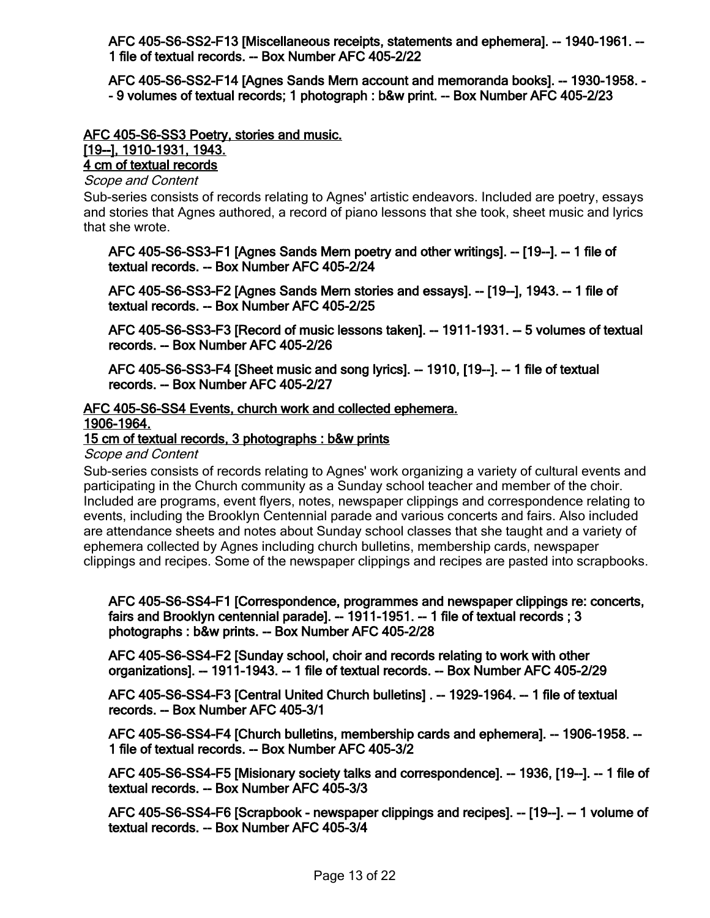**[AFC 405-S6-SS2-F13 \[Miscellaneous receipts, statements and ephemera\]. -- 1940-1961. --](http://minweb.lib.uwo.minisisinc.com/scripts/mwimain.dll/144/PUB_DESCRIPTION/WEB_DESC_DETAIL_REP/SISN 92977?SESSIONSEARCH) 1 file of textual records. -- Box Number AFC 405-2/22**

**[AFC 405-S6-SS2-F14 \[Agnes Sands Mern account and memoranda books\]. -- 1930-1958. -](http://minweb.lib.uwo.minisisinc.com/scripts/mwimain.dll/144/PUB_DESCRIPTION/WEB_DESC_DETAIL_REP/SISN 92978?SESSIONSEARCH) - 9 volumes of textual records; 1 photograph : b&w print. -- Box Number AFC 405-2/23**

#### **[AFC 405-S6-SS3 Poetry, stories and music.](http://minweb.lib.uwo.minisisinc.com/scripts/mwimain.dll/144/PUB_DESCRIPTION/WEB_DESC_DETAIL_REP/SISN 92370?SESSIONSEARCH) [19--], 1910-1931, 1943. 4 cm of textual records**

#### *Scope and Content*

Sub-series consists of records relating to Agnes' artistic endeavors. Included are poetry, essays and stories that Agnes authored, a record of piano lessons that she took, sheet music and lyrics that she wrote.

**[AFC 405-S6-SS3-F1 \[Agnes Sands Mern poetry and other writings\]. -- \[19--\]. -- 1 file of](http://minweb.lib.uwo.minisisinc.com/scripts/mwimain.dll/144/PUB_DESCRIPTION/WEB_DESC_DETAIL_REP/SISN 92979?SESSIONSEARCH) textual records. -- Box Number AFC 405-2/24**

**[AFC 405-S6-SS3-F2 \[Agnes Sands Mern stories and essays\]. -- \[19--\], 1943. -- 1 file of](http://minweb.lib.uwo.minisisinc.com/scripts/mwimain.dll/144/PUB_DESCRIPTION/WEB_DESC_DETAIL_REP/SISN 92980?SESSIONSEARCH) textual records. -- Box Number AFC 405-2/25**

**[AFC 405-S6-SS3-F3 \[Record of music lessons taken\]. -- 1911-1931. -- 5 volumes of textual](http://minweb.lib.uwo.minisisinc.com/scripts/mwimain.dll/144/PUB_DESCRIPTION/WEB_DESC_DETAIL_REP/SISN 92981?SESSIONSEARCH) records. -- Box Number AFC 405-2/26**

**[AFC 405-S6-SS3-F4 \[Sheet music and song lyrics\]. -- 1910, \[19--\]. -- 1 file of textual](http://minweb.lib.uwo.minisisinc.com/scripts/mwimain.dll/144/PUB_DESCRIPTION/WEB_DESC_DETAIL_REP/SISN 92982?SESSIONSEARCH) records. -- Box Number AFC 405-2/27**

#### **[AFC 405-S6-SS4 Events, church work and collected ephemera.](http://minweb.lib.uwo.minisisinc.com/scripts/mwimain.dll/144/PUB_DESCRIPTION/WEB_DESC_DETAIL_REP/SISN 92371?SESSIONSEARCH) 1906-1964.**

#### **15 cm of textual records, 3 photographs : b&w prints**

#### *Scope and Content*

Sub-series consists of records relating to Agnes' work organizing a variety of cultural events and participating in the Church community as a Sunday school teacher and member of the choir. Included are programs, event flyers, notes, newspaper clippings and correspondence relating to events, including the Brooklyn Centennial parade and various concerts and fairs. Also included are attendance sheets and notes about Sunday school classes that she taught and a variety of ephemera collected by Agnes including church bulletins, membership cards, newspaper clippings and recipes. Some of the newspaper clippings and recipes are pasted into scrapbooks.

**[AFC 405-S6-SS4-F1 \[Correspondence, programmes and newspaper clippings re: concerts,](http://minweb.lib.uwo.minisisinc.com/scripts/mwimain.dll/144/PUB_DESCRIPTION/WEB_DESC_DETAIL_REP/SISN 92983?SESSIONSEARCH) fairs and Brooklyn centennial parade]. -- 1911-1951. -- 1 file of textual records ; 3 photographs : b&w prints. -- Box Number AFC 405-2/28**

**AFC 405-S6-SS4-F2 [Sunday school, choir and records relating to work with other [organizations\]. -- 1911-1943. -- 1 file of textual records. -- Box Number AFC 405-2/29](http://minweb.lib.uwo.minisisinc.com/scripts/mwimain.dll/144/PUB_DESCRIPTION/WEB_DESC_DETAIL_REP/SISN 92984?SESSIONSEARCH)**

**[AFC 405-S6-SS4-F3 \[Central United Church bulletins\] . -- 1929-1964. -- 1 file of textual](http://minweb.lib.uwo.minisisinc.com/scripts/mwimain.dll/144/PUB_DESCRIPTION/WEB_DESC_DETAIL_REP/SISN 92985?SESSIONSEARCH) records. -- Box Number AFC 405-3/1**

**[AFC 405-S6-SS4-F4 \[Church bulletins, membership cards and ephemera\]. -- 1906-1958. --](http://minweb.lib.uwo.minisisinc.com/scripts/mwimain.dll/144/PUB_DESCRIPTION/WEB_DESC_DETAIL_REP/SISN 92986?SESSIONSEARCH) 1 file of textual records. -- Box Number AFC 405-3/2**

**[AFC 405-S6-SS4-F5 \[Misionary society talks and correspondence\]. -- 1936, \[19--\]. -- 1 file of](http://minweb.lib.uwo.minisisinc.com/scripts/mwimain.dll/144/PUB_DESCRIPTION/WEB_DESC_DETAIL_REP/SISN 92987?SESSIONSEARCH) textual records. -- Box Number AFC 405-3/3**

**[AFC 405-S6-SS4-F6 \[Scrapbook - newspaper clippings and recipes\]. -- \[19--\]. -- 1 volume of](http://minweb.lib.uwo.minisisinc.com/scripts/mwimain.dll/144/PUB_DESCRIPTION/WEB_DESC_DETAIL_REP/SISN 92988?SESSIONSEARCH) textual records. -- Box Number AFC 405-3/4**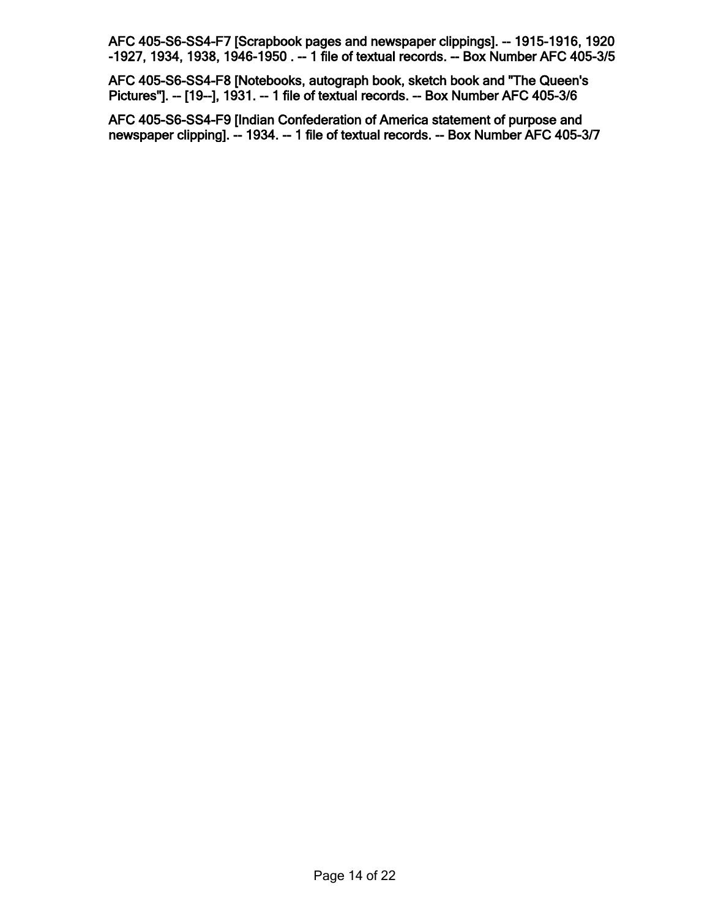**AFC 405-S6-SS4-F7 [Scrapbook pages and newspaper clippings]. -- 1915-1916, 1920 [-1927, 1934, 1938, 1946-1950 . -- 1 file of textual records. -- Box Number AFC 405-3/5](http://minweb.lib.uwo.minisisinc.com/scripts/mwimain.dll/144/PUB_DESCRIPTION/WEB_DESC_DETAIL_REP/SISN 92989?SESSIONSEARCH)**

**[AFC 405-S6-SS4-F8 \[Notebooks, autograph book, sketch book and "The Queen's](http://minweb.lib.uwo.minisisinc.com/scripts/mwimain.dll/144/PUB_DESCRIPTION/WEB_DESC_DETAIL_REP/SISN 92990?SESSIONSEARCH) Pictures"]. -- [19--], 1931. -- 1 file of textual records. -- Box Number AFC 405-3/6**

**AFC 405-S6-SS4-F9 [Indian Confederation of America statement of purpose and [newspaper clipping\]. -- 1934. -- 1 file of textual records. -- Box Number AFC 405-3/7](http://minweb.lib.uwo.minisisinc.com/scripts/mwimain.dll/144/PUB_DESCRIPTION/WEB_DESC_DETAIL_REP/SISN 92991?SESSIONSEARCH)**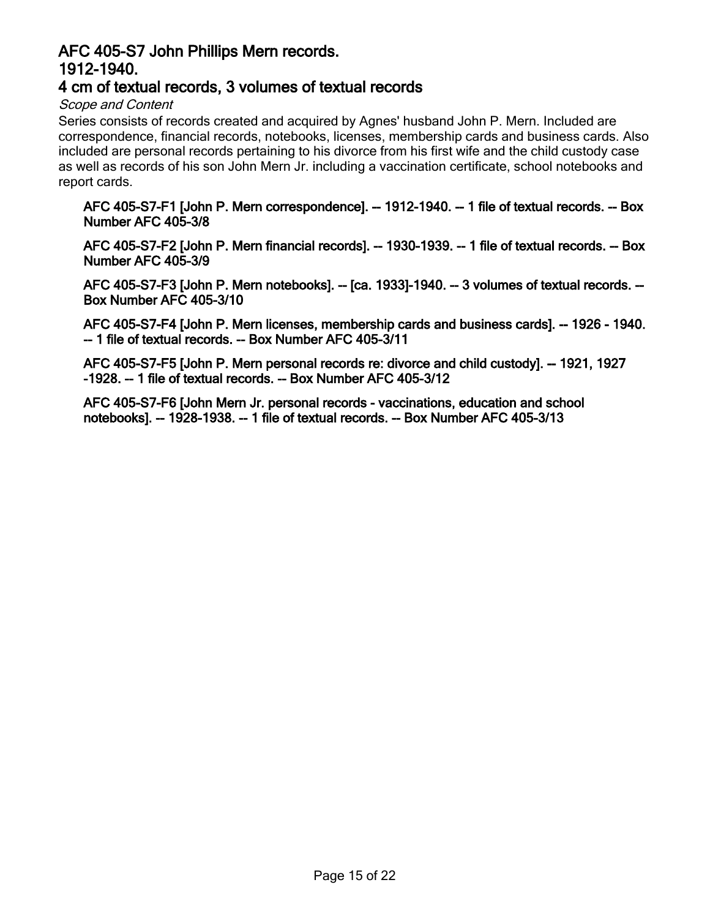## <span id="page-14-0"></span>**AFC 405-S7 John Phillips Mern records. 1912-1940.**

## **[4 cm of textual records, 3 volumes of textual records](http://minweb.lib.uwo.minisisinc.com/scripts/mwimain.dll/144/PUB_DESCRIPTION/WEB_DESC_DETAIL_REP/SISN 92373?SESSIONSEARCH)**

#### *Scope and Content*

Series consists of records created and acquired by Agnes' husband John P. Mern. Included are correspondence, financial records, notebooks, licenses, membership cards and business cards. Also included are personal records pertaining to his divorce from his first wife and the child custody case as well as records of his son John Mern Jr. including a vaccination certificate, school notebooks and report cards.

**[AFC 405-S7-F1 \[John P. Mern correspondence\]. -- 1912-1940. -- 1 file of textual records. -- Box](http://minweb.lib.uwo.minisisinc.com/scripts/mwimain.dll/144/PUB_DESCRIPTION/WEB_DESC_DETAIL_REP/SISN 92992?SESSIONSEARCH) Number AFC 405-3/8**

**[AFC 405-S7-F2 \[John P. Mern financial records\]. -- 1930-1939. -- 1 file of textual records. -- Box](http://minweb.lib.uwo.minisisinc.com/scripts/mwimain.dll/144/PUB_DESCRIPTION/WEB_DESC_DETAIL_REP/SISN 92993?SESSIONSEARCH) Number AFC 405-3/9**

**[AFC 405-S7-F3 \[John P. Mern notebooks\]. -- \[ca. 1933\]-1940. -- 3 volumes of textual records. --](http://minweb.lib.uwo.minisisinc.com/scripts/mwimain.dll/144/PUB_DESCRIPTION/WEB_DESC_DETAIL_REP/SISN 92994?SESSIONSEARCH) Box Number AFC 405-3/10**

**[AFC 405-S7-F4 \[John P. Mern licenses, membership cards and business cards\]. -- 1926 - 1940.](http://minweb.lib.uwo.minisisinc.com/scripts/mwimain.dll/144/PUB_DESCRIPTION/WEB_DESC_DETAIL_REP/SISN 92995?SESSIONSEARCH) -- 1 file of textual records. -- Box Number AFC 405-3/11**

**[AFC 405-S7-F5 \[John P. Mern personal records re: divorce and child custody\]. -- 1921, 1927](http://minweb.lib.uwo.minisisinc.com/scripts/mwimain.dll/144/PUB_DESCRIPTION/WEB_DESC_DETAIL_REP/SISN 92996?SESSIONSEARCH) -1928. -- 1 file of textual records. -- Box Number AFC 405-3/12**

**[AFC 405-S7-F6 \[John Mern Jr. personal records - vaccinations, education and school](http://minweb.lib.uwo.minisisinc.com/scripts/mwimain.dll/144/PUB_DESCRIPTION/WEB_DESC_DETAIL_REP/SISN 92997?SESSIONSEARCH) notebooks]. -- 1928-1938. -- 1 file of textual records. -- Box Number AFC 405-3/13**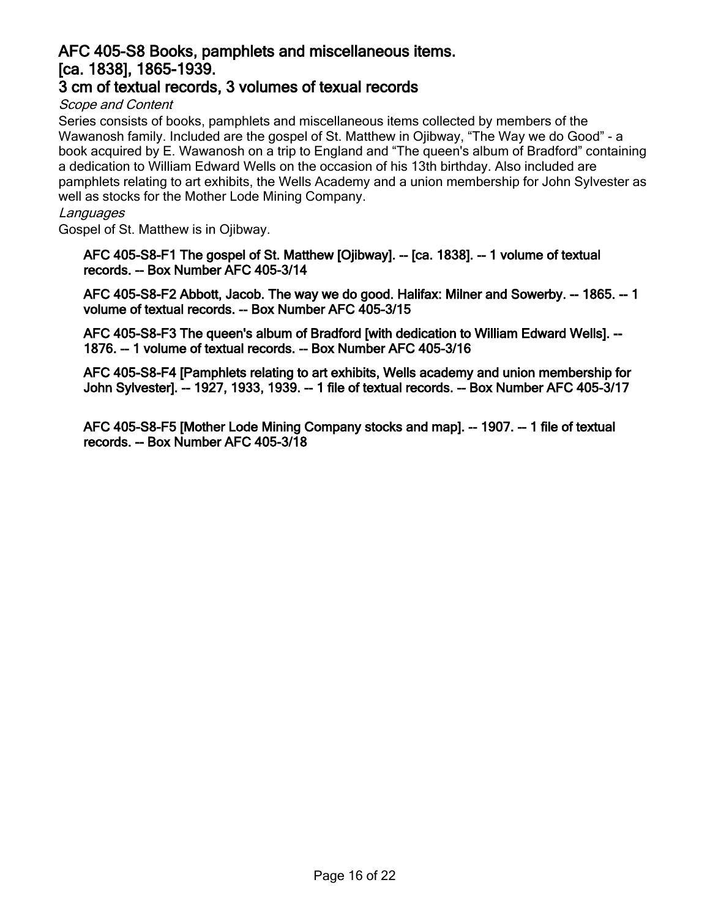## <span id="page-15-0"></span>**[AFC 405-S8 Books, pamphlets and miscellaneous items.](http://minweb.lib.uwo.minisisinc.com/scripts/mwimain.dll/144/PUB_DESCRIPTION/WEB_DESC_DETAIL_REP/SISN 92374?SESSIONSEARCH) [ca. 1838], 1865-1939.**

## **3 cm of textual records, 3 volumes of texual records**

*Scope and Content*

Series consists of books, pamphlets and miscellaneous items collected by members of the Wawanosh family. Included are the gospel of St. Matthew in Ojibway, "The Way we do Good" - a book acquired by E. Wawanosh on a trip to England and "The queen's album of Bradford" containing a dedication to William Edward Wells on the occasion of his 13th birthday. Also included are pamphlets relating to art exhibits, the Wells Academy and a union membership for John Sylvester as well as stocks for the Mother Lode Mining Company.

#### *Languages*

Gospel of St. Matthew is in Ojibway.

**[AFC 405-S8-F1 The gospel of St. Matthew \[Ojibway\]. -- \[ca. 1838\]. -- 1 volume of textual](http://minweb.lib.uwo.minisisinc.com/scripts/mwimain.dll/144/PUB_DESCRIPTION/WEB_DESC_DETAIL_REP/SISN 92998?SESSIONSEARCH) records. -- Box Number AFC 405-3/14**

**[AFC 405-S8-F2 Abbott, Jacob. The way we do good. Halifax: Milner and Sowerby. -- 1865. -- 1](http://minweb.lib.uwo.minisisinc.com/scripts/mwimain.dll/144/PUB_DESCRIPTION/WEB_DESC_DETAIL_REP/SISN 92999?SESSIONSEARCH) volume of textual records. -- Box Number AFC 405-3/15**

**[AFC 405-S8-F3 The queen's album of Bradford \[with dedication to William Edward Wells\]. --](http://minweb.lib.uwo.minisisinc.com/scripts/mwimain.dll/144/PUB_DESCRIPTION/WEB_DESC_DETAIL_REP/SISN 93000?SESSIONSEARCH) 1876. -- 1 volume of textual records. -- Box Number AFC 405-3/16**

**[AFC 405-S8-F4 \[Pamphlets relating to art exhibits, Wells academy and union membership for](http://minweb.lib.uwo.minisisinc.com/scripts/mwimain.dll/144/PUB_DESCRIPTION/WEB_DESC_DETAIL_REP/SISN 93001?SESSIONSEARCH) John Sylvester]. -- 1927, 1933, 1939. -- 1 file of textual records. -- Box Number AFC 405-3/17**

**[AFC 405-S8-F5 \[Mother Lode Mining Company stocks and map\]. -- 1907. -- 1 file of textual](http://minweb.lib.uwo.minisisinc.com/scripts/mwimain.dll/144/PUB_DESCRIPTION/WEB_DESC_DETAIL_REP/SISN 93002?SESSIONSEARCH) records. -- Box Number AFC 405-3/18**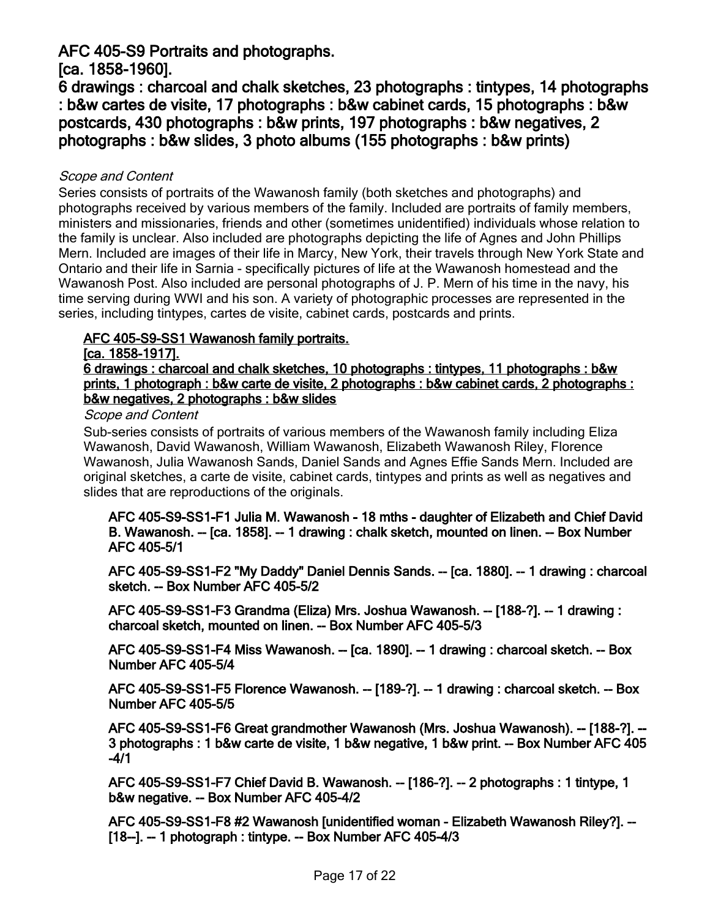## <span id="page-16-0"></span>**AFC 405-S9 Portraits and photographs.**

**[ca. 1858-1960].**

**[6 drawings : charcoal and chalk sketches, 23 photographs : tintypes, 14 photographs](http://minweb.lib.uwo.minisisinc.com/scripts/mwimain.dll/144/PUB_DESCRIPTION/WEB_DESC_DETAIL_REP/SISN 92375?SESSIONSEARCH) : b&w cartes de visite, 17 photographs : b&w cabinet cards, 15 photographs : b&w postcards, 430 photographs : b&w prints, 197 photographs : b&w negatives, 2 photographs : b&w slides, 3 photo albums (155 photographs : b&w prints)**

#### *Scope and Content*

Series consists of portraits of the Wawanosh family (both sketches and photographs) and photographs received by various members of the family. Included are portraits of family members, ministers and missionaries, friends and other (sometimes unidentified) individuals whose relation to the family is unclear. Also included are photographs depicting the life of Agnes and John Phillips Mern. Included are images of their life in Marcy, New York, their travels through New York State and Ontario and their life in Sarnia - specifically pictures of life at the Wawanosh homestead and the Wawanosh Post. Also included are personal photographs of J. P. Mern of his time in the navy, his time serving during WWI and his son. A variety of photographic processes are represented in the series, including tintypes, cartes de visite, cabinet cards, postcards and prints.

## **AFC 405-S9-SS1 Wawanosh family portraits.**

#### **[ca. 1858-1917].**

**6 drawings : charcoal and chalk sketches, 10 photographs : tintypes, 11 photographs : b&w [prints, 1 photograph : b&w carte de visite, 2 photographs : b&w cabinet cards, 2 photographs :](http://minweb.lib.uwo.minisisinc.com/scripts/mwimain.dll/144/PUB_DESCRIPTION/WEB_DESC_DETAIL_REP/SISN 92413?SESSIONSEARCH) b&w negatives, 2 photographs : b&w slides**

#### *Scope and Content*

Sub-series consists of portraits of various members of the Wawanosh family including Eliza Wawanosh, David Wawanosh, William Wawanosh, Elizabeth Wawanosh Riley, Florence Wawanosh, Julia Wawanosh Sands, Daniel Sands and Agnes Effie Sands Mern. Included are original sketches, a carte de visite, cabinet cards, tintypes and prints as well as negatives and slides that are reproductions of the originals.

**[AFC 405-S9-SS1-F1 Julia M. Wawanosh - 18 mths - daughter of Elizabeth and Chief David](http://minweb.lib.uwo.minisisinc.com/scripts/mwimain.dll/144/PUB_DESCRIPTION/WEB_DESC_DETAIL_REP/SISN 93003?SESSIONSEARCH) B. Wawanosh. -- [ca. 1858]. -- 1 drawing : chalk sketch, mounted on linen. -- Box Number AFC 405-5/1**

**[AFC 405-S9-SS1-F2 "My Daddy" Daniel Dennis Sands. -- \[ca. 1880\]. -- 1 drawing : charcoal](http://minweb.lib.uwo.minisisinc.com/scripts/mwimain.dll/144/PUB_DESCRIPTION/WEB_DESC_DETAIL_REP/SISN 93004?SESSIONSEARCH) sketch. -- Box Number AFC 405-5/2**

**[AFC 405-S9-SS1-F3 Grandma \(Eliza\) Mrs. Joshua Wawanosh. -- \[188-?\]. -- 1 drawing :](http://minweb.lib.uwo.minisisinc.com/scripts/mwimain.dll/144/PUB_DESCRIPTION/WEB_DESC_DETAIL_REP/SISN 93005?SESSIONSEARCH) charcoal sketch, mounted on linen. -- Box Number AFC 405-5/3**

**[AFC 405-S9-SS1-F4 Miss Wawanosh. -- \[ca. 1890\]. -- 1 drawing : charcoal sketch. -- Box](http://minweb.lib.uwo.minisisinc.com/scripts/mwimain.dll/144/PUB_DESCRIPTION/WEB_DESC_DETAIL_REP/SISN 93006?SESSIONSEARCH) Number AFC 405-5/4**

**[AFC 405-S9-SS1-F5 Florence Wawanosh. -- \[189-?\]. -- 1 drawing : charcoal sketch. -- Box](http://minweb.lib.uwo.minisisinc.com/scripts/mwimain.dll/144/PUB_DESCRIPTION/WEB_DESC_DETAIL_REP/SISN 93007?SESSIONSEARCH) Number AFC 405-5/5**

**[AFC 405-S9-SS1-F6 Great grandmother Wawanosh \(Mrs. Joshua Wawanosh\). -- \[188-?\]. --](http://minweb.lib.uwo.minisisinc.com/scripts/mwimain.dll/144/PUB_DESCRIPTION/WEB_DESC_DETAIL_REP/SISN 93008?SESSIONSEARCH) 3 photographs : 1 b&w carte de visite, 1 b&w negative, 1 b&w print. -- Box Number AFC 405 -4/1**

**[AFC 405-S9-SS1-F7 Chief David B. Wawanosh. -- \[186-?\]. -- 2 photographs : 1 tintype, 1](http://minweb.lib.uwo.minisisinc.com/scripts/mwimain.dll/144/PUB_DESCRIPTION/WEB_DESC_DETAIL_REP/SISN 93009?SESSIONSEARCH) b&w negative. -- Box Number AFC 405-4/2**

**[AFC 405-S9-SS1-F8 #2 Wawanosh \[unidentified woman - Elizabeth Wawanosh Riley?\]. --](http://minweb.lib.uwo.minisisinc.com/scripts/mwimain.dll/144/PUB_DESCRIPTION/WEB_DESC_DETAIL_REP/SISN 93010?SESSIONSEARCH) [18--]. -- 1 photograph : tintype. -- Box Number AFC 405-4/3**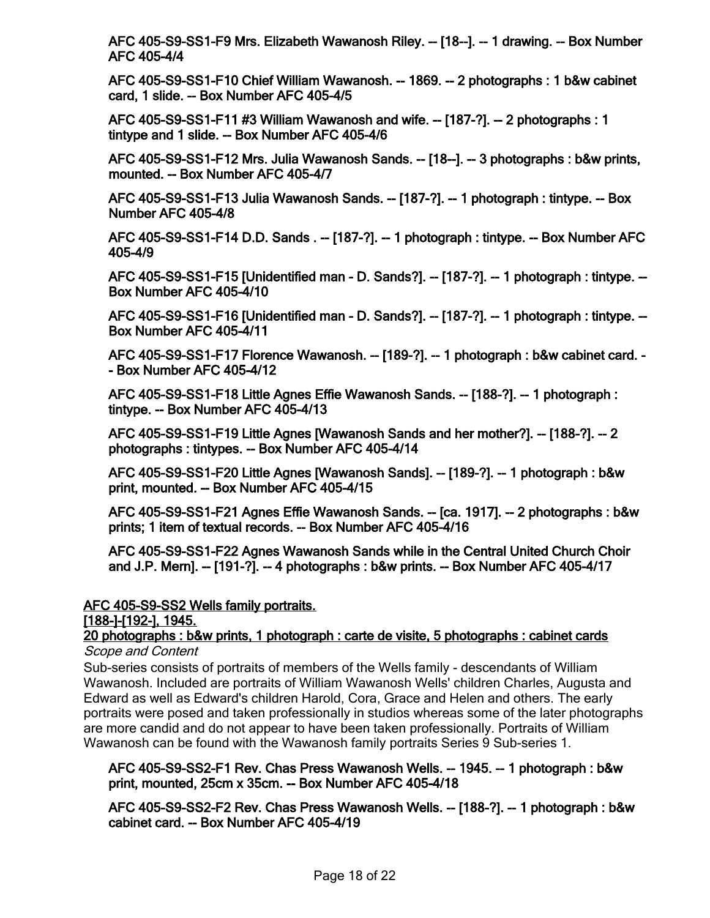**[AFC 405-S9-SS1-F9 Mrs. Elizabeth Wawanosh Riley. -- \[18--\]. -- 1 drawing. -- Box Number](http://minweb.lib.uwo.minisisinc.com/scripts/mwimain.dll/144/PUB_DESCRIPTION/WEB_DESC_DETAIL_REP/SISN 93011?SESSIONSEARCH) AFC 405-4/4**

**[AFC 405-S9-SS1-F10 Chief William Wawanosh. -- 1869. -- 2 photographs : 1 b&w cabinet](http://minweb.lib.uwo.minisisinc.com/scripts/mwimain.dll/144/PUB_DESCRIPTION/WEB_DESC_DETAIL_REP/SISN 93012?SESSIONSEARCH) card, 1 slide. -- Box Number AFC 405-4/5**

**[AFC 405-S9-SS1-F11 #3 William Wawanosh and wife. -- \[187-?\]. -- 2 photographs : 1](http://minweb.lib.uwo.minisisinc.com/scripts/mwimain.dll/144/PUB_DESCRIPTION/WEB_DESC_DETAIL_REP/SISN 93013?SESSIONSEARCH) tintype and 1 slide. -- Box Number AFC 405-4/6**

**[AFC 405-S9-SS1-F12 Mrs. Julia Wawanosh Sands. -- \[18--\]. -- 3 photographs : b&w prints,](http://minweb.lib.uwo.minisisinc.com/scripts/mwimain.dll/144/PUB_DESCRIPTION/WEB_DESC_DETAIL_REP/SISN 93014?SESSIONSEARCH) mounted. -- Box Number AFC 405-4/7**

**[AFC 405-S9-SS1-F13 Julia Wawanosh Sands. -- \[187-?\]. -- 1 photograph : tintype. -- Box](http://minweb.lib.uwo.minisisinc.com/scripts/mwimain.dll/144/PUB_DESCRIPTION/WEB_DESC_DETAIL_REP/SISN 93015?SESSIONSEARCH) Number AFC 405-4/8**

**[AFC 405-S9-SS1-F14 D.D. Sands . -- \[187-?\]. -- 1 photograph : tintype. -- Box Number AFC](http://minweb.lib.uwo.minisisinc.com/scripts/mwimain.dll/144/PUB_DESCRIPTION/WEB_DESC_DETAIL_REP/SISN 93016?SESSIONSEARCH) 405-4/9**

**[AFC 405-S9-SS1-F15 \[Unidentified man - D. Sands?\]. -- \[187-?\]. -- 1 photograph : tintype. --](http://minweb.lib.uwo.minisisinc.com/scripts/mwimain.dll/144/PUB_DESCRIPTION/WEB_DESC_DETAIL_REP/SISN 93017?SESSIONSEARCH) Box Number AFC 405-4/10**

**[AFC 405-S9-SS1-F16 \[Unidentified man - D. Sands?\]. -- \[187-?\]. -- 1 photograph : tintype. --](http://minweb.lib.uwo.minisisinc.com/scripts/mwimain.dll/144/PUB_DESCRIPTION/WEB_DESC_DETAIL_REP/SISN 93018?SESSIONSEARCH) Box Number AFC 405-4/11**

**[AFC 405-S9-SS1-F17 Florence Wawanosh. -- \[189-?\]. -- 1 photograph : b&w cabinet card. -](http://minweb.lib.uwo.minisisinc.com/scripts/mwimain.dll/144/PUB_DESCRIPTION/WEB_DESC_DETAIL_REP/SISN 93019?SESSIONSEARCH) - Box Number AFC 405-4/12**

**[AFC 405-S9-SS1-F18 Little Agnes Effie Wawanosh Sands. -- \[188-?\]. -- 1 photograph :](http://minweb.lib.uwo.minisisinc.com/scripts/mwimain.dll/144/PUB_DESCRIPTION/WEB_DESC_DETAIL_REP/SISN 93020?SESSIONSEARCH) tintype. -- Box Number AFC 405-4/13**

**[AFC 405-S9-SS1-F19 Little Agnes \[Wawanosh Sands and her mother?\]. -- \[188-?\]. -- 2](http://minweb.lib.uwo.minisisinc.com/scripts/mwimain.dll/144/PUB_DESCRIPTION/WEB_DESC_DETAIL_REP/SISN 93021?SESSIONSEARCH) photographs : tintypes. -- Box Number AFC 405-4/14**

**[AFC 405-S9-SS1-F20 Little Agnes \[Wawanosh Sands\]. -- \[189-?\]. -- 1 photograph : b&w](http://minweb.lib.uwo.minisisinc.com/scripts/mwimain.dll/144/PUB_DESCRIPTION/WEB_DESC_DETAIL_REP/SISN 93022?SESSIONSEARCH) print, mounted. -- Box Number AFC 405-4/15**

**[AFC 405-S9-SS1-F21 Agnes Effie Wawanosh Sands. -- \[ca. 1917\]. -- 2 photographs : b&w](http://minweb.lib.uwo.minisisinc.com/scripts/mwimain.dll/144/PUB_DESCRIPTION/WEB_DESC_DETAIL_REP/SISN 93023?SESSIONSEARCH) prints; 1 item of textual records. -- Box Number AFC 405-4/16**

**[AFC 405-S9-SS1-F22 Agnes Wawanosh Sands while in the Central United Church Choir](http://minweb.lib.uwo.minisisinc.com/scripts/mwimain.dll/144/PUB_DESCRIPTION/WEB_DESC_DETAIL_REP/SISN 93024?SESSIONSEARCH) and J.P. Mern]. -- [191-?]. -- 4 photographs : b&w prints. -- Box Number AFC 405-4/17**

#### **AFC 405-S9-SS2 Wells family portraits.**

**[188-]-[192-], 1945.**

#### **[20 photographs : b&w prints, 1 photograph : carte de visite, 5 photographs : cabinet cards](http://minweb.lib.uwo.minisisinc.com/scripts/mwimain.dll/144/PUB_DESCRIPTION/WEB_DESC_DETAIL_REP/SISN 92414?SESSIONSEARCH)** *Scope and Content*

Sub-series consists of portraits of members of the Wells family - descendants of William Wawanosh. Included are portraits of William Wawanosh Wells' children Charles, Augusta and Edward as well as Edward's children Harold, Cora, Grace and Helen and others. The early portraits were posed and taken professionally in studios whereas some of the later photographs are more candid and do not appear to have been taken professionally. Portraits of William Wawanosh can be found with the Wawanosh family portraits Series 9 Sub-series 1.

#### **[AFC 405-S9-SS2-F1 Rev. Chas Press Wawanosh Wells. -- 1945. -- 1 photograph : b&w](http://minweb.lib.uwo.minisisinc.com/scripts/mwimain.dll/144/PUB_DESCRIPTION/WEB_DESC_DETAIL_REP/SISN 93025?SESSIONSEARCH) print, mounted, 25cm x 35cm. -- Box Number AFC 405-4/18**

**[AFC 405-S9-SS2-F2 Rev. Chas Press Wawanosh Wells. -- \[188-?\]. -- 1 photograph : b&w](http://minweb.lib.uwo.minisisinc.com/scripts/mwimain.dll/144/PUB_DESCRIPTION/WEB_DESC_DETAIL_REP/SISN 93026?SESSIONSEARCH) cabinet card. -- Box Number AFC 405-4/19**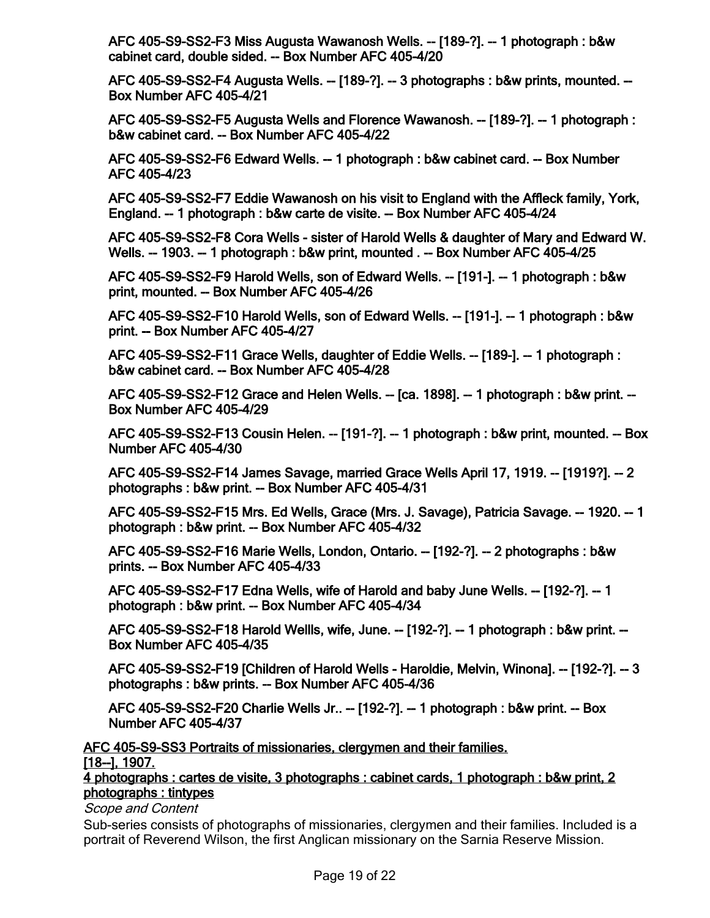**[AFC 405-S9-SS2-F3 Miss Augusta Wawanosh Wells. -- \[189-?\]. -- 1 photograph : b&w](http://minweb.lib.uwo.minisisinc.com/scripts/mwimain.dll/144/PUB_DESCRIPTION/WEB_DESC_DETAIL_REP/SISN 93027?SESSIONSEARCH) cabinet card, double sided. -- Box Number AFC 405-4/20**

**[AFC 405-S9-SS2-F4 Augusta Wells. -- \[189-?\]. -- 3 photographs : b&w prints, mounted. --](http://minweb.lib.uwo.minisisinc.com/scripts/mwimain.dll/144/PUB_DESCRIPTION/WEB_DESC_DETAIL_REP/SISN 93028?SESSIONSEARCH) Box Number AFC 405-4/21**

**[AFC 405-S9-SS2-F5 Augusta Wells and Florence Wawanosh. -- \[189-?\]. -- 1 photograph :](http://minweb.lib.uwo.minisisinc.com/scripts/mwimain.dll/144/PUB_DESCRIPTION/WEB_DESC_DETAIL_REP/SISN 93029?SESSIONSEARCH) b&w cabinet card. -- Box Number AFC 405-4/22**

**[AFC 405-S9-SS2-F6 Edward Wells. -- 1 photograph : b&w cabinet card. -- Box Number](http://minweb.lib.uwo.minisisinc.com/scripts/mwimain.dll/144/PUB_DESCRIPTION/WEB_DESC_DETAIL_REP/SISN 93030?SESSIONSEARCH) AFC 405-4/23**

**[AFC 405-S9-SS2-F7 Eddie Wawanosh on his visit to England with the Affleck family, York,](http://minweb.lib.uwo.minisisinc.com/scripts/mwimain.dll/144/PUB_DESCRIPTION/WEB_DESC_DETAIL_REP/SISN 93031?SESSIONSEARCH) England. -- 1 photograph : b&w carte de visite. -- Box Number AFC 405-4/24**

**[AFC 405-S9-SS2-F8 Cora Wells - sister of Harold Wells & daughter of Mary and Edward W.](http://minweb.lib.uwo.minisisinc.com/scripts/mwimain.dll/144/PUB_DESCRIPTION/WEB_DESC_DETAIL_REP/SISN 93032?SESSIONSEARCH) Wells. -- 1903. -- 1 photograph : b&w print, mounted . -- Box Number AFC 405-4/25**

**[AFC 405-S9-SS2-F9 Harold Wells, son of Edward Wells. -- \[191-\]. -- 1 photograph : b&w](http://minweb.lib.uwo.minisisinc.com/scripts/mwimain.dll/144/PUB_DESCRIPTION/WEB_DESC_DETAIL_REP/SISN 93033?SESSIONSEARCH) print, mounted. -- Box Number AFC 405-4/26**

**[AFC 405-S9-SS2-F10 Harold Wells, son of Edward Wells. -- \[191-\]. -- 1 photograph : b&w](http://minweb.lib.uwo.minisisinc.com/scripts/mwimain.dll/144/PUB_DESCRIPTION/WEB_DESC_DETAIL_REP/SISN 93034?SESSIONSEARCH) print. -- Box Number AFC 405-4/27**

**[AFC 405-S9-SS2-F11 Grace Wells, daughter of Eddie Wells. -- \[189-\]. -- 1 photograph :](http://minweb.lib.uwo.minisisinc.com/scripts/mwimain.dll/144/PUB_DESCRIPTION/WEB_DESC_DETAIL_REP/SISN 93035?SESSIONSEARCH) b&w cabinet card. -- Box Number AFC 405-4/28**

**[AFC 405-S9-SS2-F12 Grace and Helen Wells. -- \[ca. 1898\]. -- 1 photograph : b&w print. --](http://minweb.lib.uwo.minisisinc.com/scripts/mwimain.dll/144/PUB_DESCRIPTION/WEB_DESC_DETAIL_REP/SISN 93036?SESSIONSEARCH) Box Number AFC 405-4/29**

**[AFC 405-S9-SS2-F13 Cousin Helen. -- \[191-?\]. -- 1 photograph : b&w print, mounted. -- Box](http://minweb.lib.uwo.minisisinc.com/scripts/mwimain.dll/144/PUB_DESCRIPTION/WEB_DESC_DETAIL_REP/SISN 93037?SESSIONSEARCH) Number AFC 405-4/30**

**[AFC 405-S9-SS2-F14 James Savage, married Grace Wells April 17, 1919. -- \[1919?\]. -- 2](http://minweb.lib.uwo.minisisinc.com/scripts/mwimain.dll/144/PUB_DESCRIPTION/WEB_DESC_DETAIL_REP/SISN 93038?SESSIONSEARCH) photographs : b&w print. -- Box Number AFC 405-4/31**

**[AFC 405-S9-SS2-F15 Mrs. Ed Wells, Grace \(Mrs. J. Savage\), Patricia Savage. -- 1920. -- 1](http://minweb.lib.uwo.minisisinc.com/scripts/mwimain.dll/144/PUB_DESCRIPTION/WEB_DESC_DETAIL_REP/SISN 93039?SESSIONSEARCH) photograph : b&w print. -- Box Number AFC 405-4/32**

**[AFC 405-S9-SS2-F16 Marie Wells, London, Ontario. -- \[192-?\]. -- 2 photographs : b&w](http://minweb.lib.uwo.minisisinc.com/scripts/mwimain.dll/144/PUB_DESCRIPTION/WEB_DESC_DETAIL_REP/SISN 93040?SESSIONSEARCH) prints. -- Box Number AFC 405-4/33**

**[AFC 405-S9-SS2-F17 Edna Wells, wife of Harold and baby June Wells. -- \[192-?\]. -- 1](http://minweb.lib.uwo.minisisinc.com/scripts/mwimain.dll/144/PUB_DESCRIPTION/WEB_DESC_DETAIL_REP/SISN 93041?SESSIONSEARCH) photograph : b&w print. -- Box Number AFC 405-4/34**

**[AFC 405-S9-SS2-F18 Harold Wellls, wife, June. -- \[192-?\]. -- 1 photograph : b&w print. --](http://minweb.lib.uwo.minisisinc.com/scripts/mwimain.dll/144/PUB_DESCRIPTION/WEB_DESC_DETAIL_REP/SISN 93042?SESSIONSEARCH) Box Number AFC 405-4/35**

**[AFC 405-S9-SS2-F19 \[Children of Harold Wells - Haroldie, Melvin, Winona\]. -- \[192-?\]. -- 3](http://minweb.lib.uwo.minisisinc.com/scripts/mwimain.dll/144/PUB_DESCRIPTION/WEB_DESC_DETAIL_REP/SISN 93043?SESSIONSEARCH) photographs : b&w prints. -- Box Number AFC 405-4/36**

**[AFC 405-S9-SS2-F20 Charlie Wells Jr.. -- \[192-?\]. -- 1 photograph : b&w print. -- Box](http://minweb.lib.uwo.minisisinc.com/scripts/mwimain.dll/144/PUB_DESCRIPTION/WEB_DESC_DETAIL_REP/SISN 93044?SESSIONSEARCH) Number AFC 405-4/37**

**AFC 405-S9-SS3 Portraits of missionaries, clergymen and their families. [18--], 1907.**

**[4 photographs : cartes de visite, 3 photographs : cabinet cards, 1 photograph : b&w print, 2](http://minweb.lib.uwo.minisisinc.com/scripts/mwimain.dll/144/PUB_DESCRIPTION/WEB_DESC_DETAIL_REP/SISN 92417?SESSIONSEARCH) photographs : tintypes**

*Scope and Content*

Sub-series consists of photographs of missionaries, clergymen and their families. Included is a portrait of Reverend Wilson, the first Anglican missionary on the Sarnia Reserve Mission.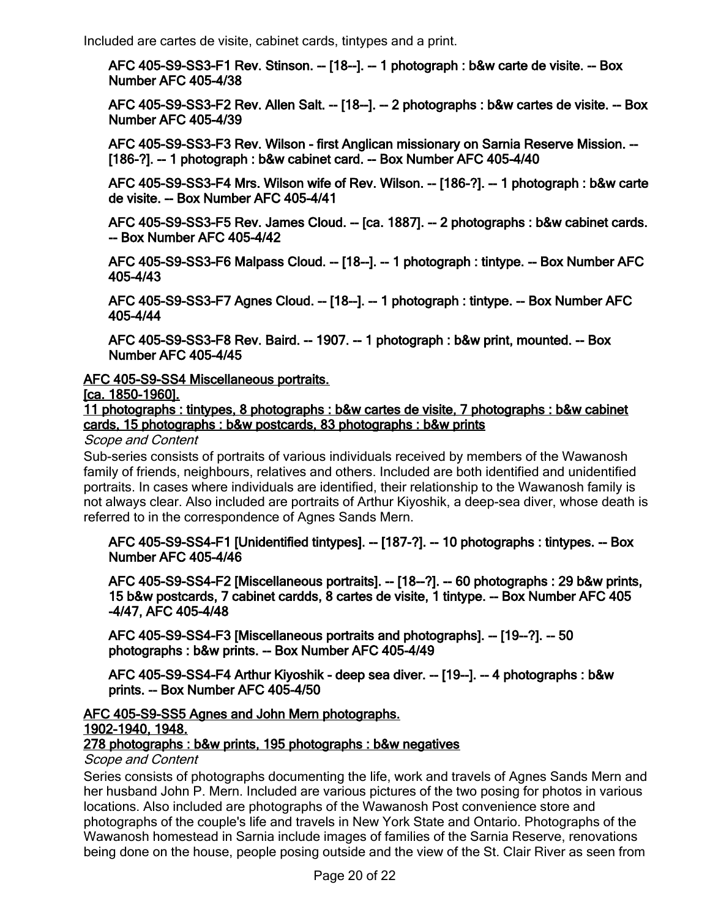Included are cartes de visite, cabinet cards, tintypes and a print.

**[AFC 405-S9-SS3-F1 Rev. Stinson. -- \[18--\]. -- 1 photograph : b&w carte de visite. -- Box](http://minweb.lib.uwo.minisisinc.com/scripts/mwimain.dll/144/PUB_DESCRIPTION/WEB_DESC_DETAIL_REP/SISN 93045?SESSIONSEARCH) Number AFC 405-4/38**

**[AFC 405-S9-SS3-F2 Rev. Allen Salt. -- \[18--\]. -- 2 photographs : b&w cartes de visite. -- Box](http://minweb.lib.uwo.minisisinc.com/scripts/mwimain.dll/144/PUB_DESCRIPTION/WEB_DESC_DETAIL_REP/SISN 93046?SESSIONSEARCH) Number AFC 405-4/39**

**[AFC 405-S9-SS3-F3 Rev. Wilson - first Anglican missionary on Sarnia Reserve Mission. --](http://minweb.lib.uwo.minisisinc.com/scripts/mwimain.dll/144/PUB_DESCRIPTION/WEB_DESC_DETAIL_REP/SISN 93047?SESSIONSEARCH) [186-?]. -- 1 photograph : b&w cabinet card. -- Box Number AFC 405-4/40**

**[AFC 405-S9-SS3-F4 Mrs. Wilson wife of Rev. Wilson. -- \[186-?\]. -- 1 photograph : b&w carte](http://minweb.lib.uwo.minisisinc.com/scripts/mwimain.dll/144/PUB_DESCRIPTION/WEB_DESC_DETAIL_REP/SISN 93048?SESSIONSEARCH) de visite. -- Box Number AFC 405-4/41**

**[AFC 405-S9-SS3-F5 Rev. James Cloud. -- \[ca. 1887\]. -- 2 photographs : b&w cabinet cards.](http://minweb.lib.uwo.minisisinc.com/scripts/mwimain.dll/144/PUB_DESCRIPTION/WEB_DESC_DETAIL_REP/SISN 93049?SESSIONSEARCH) -- Box Number AFC 405-4/42**

**[AFC 405-S9-SS3-F6 Malpass Cloud. -- \[18--\]. -- 1 photograph : tintype. -- Box Number AFC](http://minweb.lib.uwo.minisisinc.com/scripts/mwimain.dll/144/PUB_DESCRIPTION/WEB_DESC_DETAIL_REP/SISN 93050?SESSIONSEARCH) 405-4/43**

**[AFC 405-S9-SS3-F7 Agnes Cloud. -- \[18--\]. -- 1 photograph : tintype. -- Box Number AFC](http://minweb.lib.uwo.minisisinc.com/scripts/mwimain.dll/144/PUB_DESCRIPTION/WEB_DESC_DETAIL_REP/SISN 93051?SESSIONSEARCH) 405-4/44**

**[AFC 405-S9-SS3-F8 Rev. Baird. -- 1907. -- 1 photograph : b&w print, mounted. -- Box](http://minweb.lib.uwo.minisisinc.com/scripts/mwimain.dll/144/PUB_DESCRIPTION/WEB_DESC_DETAIL_REP/SISN 93052?SESSIONSEARCH) Number AFC 405-4/45**

#### **AFC 405-S9-SS4 Miscellaneous portraits.**

**[ca. 1850-1960].**

**[11 photographs : tintypes, 8 photographs : b&w cartes de visite, 7 photographs : b&w cabinet](http://minweb.lib.uwo.minisisinc.com/scripts/mwimain.dll/144/PUB_DESCRIPTION/WEB_DESC_DETAIL_REP/SISN 92415?SESSIONSEARCH) cards, 15 photographs : b&w postcards, 83 photographs : b&w prints**

#### *Scope and Content*

Sub-series consists of portraits of various individuals received by members of the Wawanosh family of friends, neighbours, relatives and others. Included are both identified and unidentified portraits. In cases where individuals are identified, their relationship to the Wawanosh family is not always clear. Also included are portraits of Arthur Kiyoshik, a deep-sea diver, whose death is referred to in the correspondence of Agnes Sands Mern.

[AFC 405-S9-SS4-F1 \[Unidentified tintypes\]. -- \[187-?\]. -- 10 photographs : tintypes. -- Box](http://minweb.lib.uwo.minisisinc.com/scripts/mwimain.dll/144/PUB_DESCRIPTION/WEB_DESC_DETAIL_REP/SISN 93053?SESSIONSEARCH) **Number AFC 405-4/46**

**[AFC 405-S9-SS4-F2 \[Miscellaneous portraits\]. -- \[18--?\]. -- 60 photographs : 29 b&w prints,](http://minweb.lib.uwo.minisisinc.com/scripts/mwimain.dll/144/PUB_DESCRIPTION/WEB_DESC_DETAIL_REP/SISN 93054?SESSIONSEARCH) 15 b&w postcards, 7 cabinet cardds, 8 cartes de visite, 1 tintype. -- Box Number AFC 405 -4/47, AFC 405-4/48**

**[AFC 405-S9-SS4-F3 \[Miscellaneous portraits and photographs\]. -- \[19--?\]. -- 50](http://minweb.lib.uwo.minisisinc.com/scripts/mwimain.dll/144/PUB_DESCRIPTION/WEB_DESC_DETAIL_REP/SISN 93055?SESSIONSEARCH) photographs : b&w prints. -- Box Number AFC 405-4/49**

**[AFC 405-S9-SS4-F4 Arthur Kiyoshik - deep sea diver. -- \[19--\]. -- 4 photographs : b&w](http://minweb.lib.uwo.minisisinc.com/scripts/mwimain.dll/144/PUB_DESCRIPTION/WEB_DESC_DETAIL_REP/SISN 93056?SESSIONSEARCH) prints. -- Box Number AFC 405-4/50**

#### **AFC 405-S9-SS5 Agnes and John Mern photographs. 1902-1940, 1948.**

## **[278 photographs : b&w prints, 195 photographs : b&w negatives](http://minweb.lib.uwo.minisisinc.com/scripts/mwimain.dll/144/PUB_DESCRIPTION/WEB_DESC_DETAIL_REP/SISN 92416?SESSIONSEARCH)**

#### *Scope and Content*

Series consists of photographs documenting the life, work and travels of Agnes Sands Mern and her husband John P. Mern. Included are various pictures of the two posing for photos in various locations. Also included are photographs of the Wawanosh Post convenience store and photographs of the couple's life and travels in New York State and Ontario. Photographs of the Wawanosh homestead in Sarnia include images of families of the Sarnia Reserve, renovations being done on the house, people posing outside and the view of the St. Clair River as seen from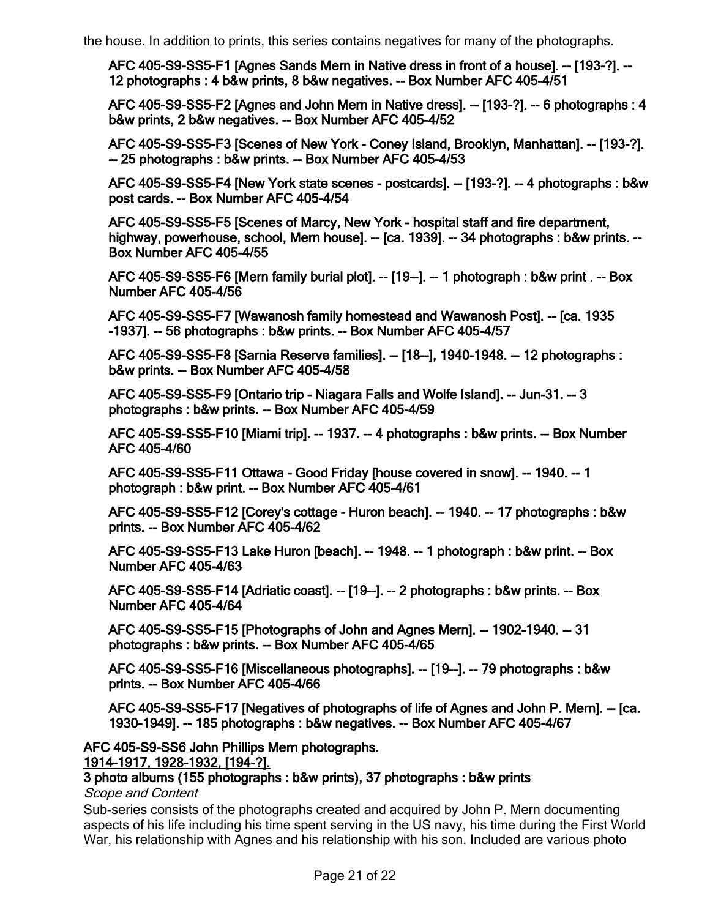**[AFC 405-S9-SS5-F1 \[Agnes Sands Mern in Native dress in front of a house\]. -- \[193-?\]. --](http://minweb.lib.uwo.minisisinc.com/scripts/mwimain.dll/144/PUB_DESCRIPTION/WEB_DESC_DETAIL_REP/SISN 93057?SESSIONSEARCH) 12 photographs : 4 b&w prints, 8 b&w negatives. -- Box Number AFC 405-4/51**

**[AFC 405-S9-SS5-F2 \[Agnes and John Mern in Native dress\]. -- \[193-?\]. -- 6 photographs : 4](http://minweb.lib.uwo.minisisinc.com/scripts/mwimain.dll/144/PUB_DESCRIPTION/WEB_DESC_DETAIL_REP/SISN 93058?SESSIONSEARCH) b&w prints, 2 b&w negatives. -- Box Number AFC 405-4/52**

**[AFC 405-S9-SS5-F3 \[Scenes of New York - Coney Island, Brooklyn, Manhattan\]. -- \[193-?\].](http://minweb.lib.uwo.minisisinc.com/scripts/mwimain.dll/144/PUB_DESCRIPTION/WEB_DESC_DETAIL_REP/SISN 93059?SESSIONSEARCH)  -- 25 photographs : b&w prints. -- Box Number AFC 405-4/53**

**[AFC 405-S9-SS5-F4 \[New York state scenes - postcards\]. -- \[193-?\]. -- 4 photographs : b&w](http://minweb.lib.uwo.minisisinc.com/scripts/mwimain.dll/144/PUB_DESCRIPTION/WEB_DESC_DETAIL_REP/SISN 93060?SESSIONSEARCH) post cards. -- Box Number AFC 405-4/54**

**AFC 405-S9-SS5-F5 [Scenes of Marcy, New York - hospital staff and fire department, [highway, powerhouse, school, Mern house\]. -- \[ca. 1939\]. -- 34 photographs : b&w prints. --](http://minweb.lib.uwo.minisisinc.com/scripts/mwimain.dll/144/PUB_DESCRIPTION/WEB_DESC_DETAIL_REP/SISN 93061?SESSIONSEARCH) Box Number AFC 405-4/55**

**[AFC 405-S9-SS5-F6 \[Mern family burial plot\]. -- \[19--\]. -- 1 photograph : b&w print . -- Box](http://minweb.lib.uwo.minisisinc.com/scripts/mwimain.dll/144/PUB_DESCRIPTION/WEB_DESC_DETAIL_REP/SISN 93062?SESSIONSEARCH) Number AFC 405-4/56**

**[AFC 405-S9-SS5-F7 \[Wawanosh family homestead and Wawanosh Post\]. -- \[ca. 1935](http://minweb.lib.uwo.minisisinc.com/scripts/mwimain.dll/144/PUB_DESCRIPTION/WEB_DESC_DETAIL_REP/SISN 93063?SESSIONSEARCH) -1937]. -- 56 photographs : b&w prints. -- Box Number AFC 405-4/57**

**[AFC 405-S9-SS5-F8 \[Sarnia Reserve families\]. -- \[18--\], 1940-1948. -- 12 photographs :](http://minweb.lib.uwo.minisisinc.com/scripts/mwimain.dll/144/PUB_DESCRIPTION/WEB_DESC_DETAIL_REP/SISN 93064?SESSIONSEARCH) b&w prints. -- Box Number AFC 405-4/58**

**[AFC 405-S9-SS5-F9 \[Ontario trip - Niagara Falls and Wolfe Island\]. -- Jun-31. -- 3](http://minweb.lib.uwo.minisisinc.com/scripts/mwimain.dll/144/PUB_DESCRIPTION/WEB_DESC_DETAIL_REP/SISN 93065?SESSIONSEARCH) photographs : b&w prints. -- Box Number AFC 405-4/59**

**[AFC 405-S9-SS5-F10 \[Miami trip\]. -- 1937. -- 4 photographs : b&w prints. -- Box Number](http://minweb.lib.uwo.minisisinc.com/scripts/mwimain.dll/144/PUB_DESCRIPTION/WEB_DESC_DETAIL_REP/SISN 93066?SESSIONSEARCH) AFC 405-4/60**

**[AFC 405-S9-SS5-F11 Ottawa - Good Friday \[house covered in snow\]. -- 1940. -- 1](http://minweb.lib.uwo.minisisinc.com/scripts/mwimain.dll/144/PUB_DESCRIPTION/WEB_DESC_DETAIL_REP/SISN 93067?SESSIONSEARCH) photograph : b&w print. -- Box Number AFC 405-4/61**

**[AFC 405-S9-SS5-F12 \[Corey's cottage - Huron beach\]. -- 1940. -- 17 photographs : b&w](http://minweb.lib.uwo.minisisinc.com/scripts/mwimain.dll/144/PUB_DESCRIPTION/WEB_DESC_DETAIL_REP/SISN 93068?SESSIONSEARCH) prints. -- Box Number AFC 405-4/62**

**[AFC 405-S9-SS5-F13 Lake Huron \[beach\]. -- 1948. -- 1 photograph : b&w print. -- Box](http://minweb.lib.uwo.minisisinc.com/scripts/mwimain.dll/144/PUB_DESCRIPTION/WEB_DESC_DETAIL_REP/SISN 93069?SESSIONSEARCH) Number AFC 405-4/63**

**[AFC 405-S9-SS5-F14 \[Adriatic coast\]. -- \[19--\]. -- 2 photographs : b&w prints. -- Box](http://minweb.lib.uwo.minisisinc.com/scripts/mwimain.dll/144/PUB_DESCRIPTION/WEB_DESC_DETAIL_REP/SISN 93070?SESSIONSEARCH) Number AFC 405-4/64**

**[AFC 405-S9-SS5-F15 \[Photographs of John and Agnes Mern\]. -- 1902-1940. -- 31](http://minweb.lib.uwo.minisisinc.com/scripts/mwimain.dll/144/PUB_DESCRIPTION/WEB_DESC_DETAIL_REP/SISN 93071?SESSIONSEARCH) photographs : b&w prints. -- Box Number AFC 405-4/65**

**[AFC 405-S9-SS5-F16 \[Miscellaneous photographs\]. -- \[19--\]. -- 79 photographs : b&w](http://minweb.lib.uwo.minisisinc.com/scripts/mwimain.dll/144/PUB_DESCRIPTION/WEB_DESC_DETAIL_REP/SISN 93072?SESSIONSEARCH) prints. -- Box Number AFC 405-4/66**

**[AFC 405-S9-SS5-F17 \[Negatives of photographs of life of Agnes and John P. Mern\]. -- \[ca.](http://minweb.lib.uwo.minisisinc.com/scripts/mwimain.dll/144/PUB_DESCRIPTION/WEB_DESC_DETAIL_REP/SISN 93073?SESSIONSEARCH) 1930-1949]. -- 185 photographs : b&w negatives. -- Box Number AFC 405-4/67**

**AFC 405-S9-SS6 John Phillips Mern photographs.**

**1914-1917, 1928-1932, [194-?].**

#### **[3 photo albums \(155 photographs : b&w prints\), 37 photographs : b&w prints](http://minweb.lib.uwo.minisisinc.com/scripts/mwimain.dll/144/PUB_DESCRIPTION/WEB_DESC_DETAIL_REP/SISN 92418?SESSIONSEARCH)**

*Scope and Content*

Sub-series consists of the photographs created and acquired by John P. Mern documenting aspects of his life including his time spent serving in the US navy, his time during the First World War, his relationship with Agnes and his relationship with his son. Included are various photo